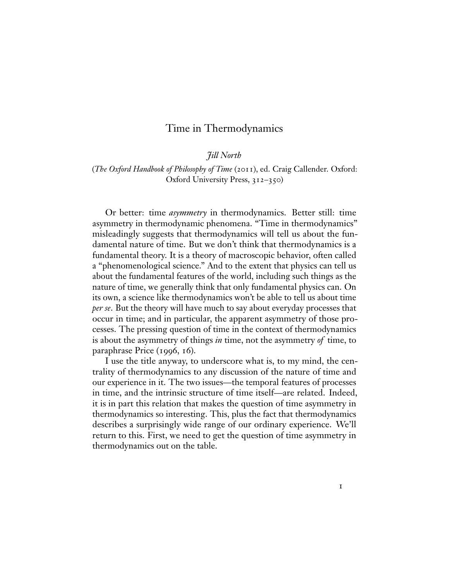# Time in Thermodynamics

#### *Jill North*

(*The Oxford Handbook of Philosophy of Time* (2011), ed. Craig Callender. Oxford: Oxford University Press, 312–350)

Or better: time *asymmetry* in thermodynamics. Better still: time asymmetry in thermodynamic phenomena. "Time in thermodynamics" misleadingly suggests that thermodynamics will tell us about the fundamental nature of time. But we don't think that thermodynamics is a fundamental theory. It is a theory of macroscopic behavior, often called a "phenomenological science." And to the extent that physics can tell us about the fundamental features of the world, including such things as the nature of time, we generally think that only fundamental physics can. On its own, a science like thermodynamics won't be able to tell us about time *per se*. But the theory will have much to say about everyday processes that occur in time; and in particular, the apparent asymmetry of those processes. The pressing question of time in the context of thermodynamics is about the asymmetry of things *in* time, not the asymmetry *of* time, to paraphrase Price (1996, 16).

I use the title anyway, to underscore what is, to my mind, the centrality of thermodynamics to any discussion of the nature of time and our experience in it. The two issues—the temporal features of processes in time, and the intrinsic structure of time itself—are related. Indeed, it is in part this relation that makes the question of time asymmetry in thermodynamics so interesting. This, plus the fact that thermodynamics describes a surprisingly wide range of our ordinary experience. We'll return to this. First, we need to get the question of time asymmetry in thermodynamics out on the table.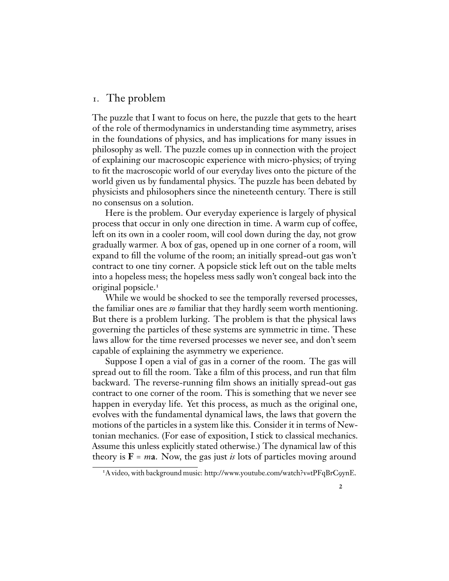## 1. The problem

The puzzle that I want to focus on here, the puzzle that gets to the heart of the role of thermodynamics in understanding time asymmetry, arises in the foundations of physics, and has implications for many issues in philosophy as well. The puzzle comes up in connection with the project of explaining our macroscopic experience with micro-physics; of trying to fit the macroscopic world of our everyday lives onto the picture of the world given us by fundamental physics. The puzzle has been debated by physicists and philosophers since the nineteenth century. There is still no consensus on a solution.

Here is the problem. Our everyday experience is largely of physical process that occur in only one direction in time. A warm cup of coffee, left on its own in a cooler room, will cool down during the day, not grow gradually warmer. A box of gas, opened up in one corner of a room, will expand to fill the volume of the room; an initially spread-out gas won't contract to one tiny corner. A popsicle stick left out on the table melts into a hopeless mess; the hopeless mess sadly won't congeal back into the original popsicle.<sup>1</sup>

While we would be shocked to see the temporally reversed processes, the familiar ones are *so* familiar that they hardly seem worth mentioning. But there is a problem lurking. The problem is that the physical laws governing the particles of these systems are symmetric in time. These laws allow for the time reversed processes we never see, and don't seem capable of explaining the asymmetry we experience.

Suppose I open a vial of gas in a corner of the room. The gas will spread out to fill the room. Take a film of this process, and run that film backward. The reverse-running lm shows an initially spread-out gas contract to one corner of the room. This is something that we never see happen in everyday life. Yet this process, as much as the original one, evolves with the fundamental dynamical laws, the laws that govern the motions of the particles in a system like this. Consider it in terms of Newtonian mechanics. (For ease of exposition, I stick to classical mechanics. Assume this unless explicitly stated otherwise.) The dynamical law of this theory is  $\mathbf{F} = m\mathbf{a}$ . Now, the gas just *is* lots of particles moving around

<sup>&</sup>lt;sup>1</sup>A video, with background music: http://www.youtube.com/watch?v=tPFqBrC9ynE.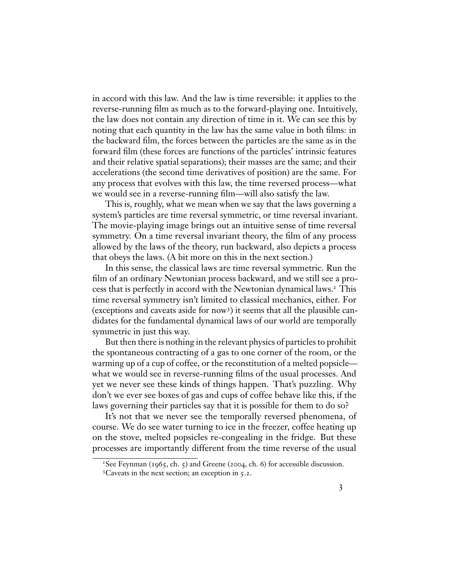in accord with this law. And the law is time reversible: it applies to the reverse-running film as much as to the forward-playing one. Intuitively, the law does not contain any direction of time in it. We can see this by noting that each quantity in the law has the same value in both films: in the backward lm, the forces between the particles are the same as in the forward film (these forces are functions of the particles' intrinsic features and their relative spatial separations); their masses are the same; and their accelerations (the second time derivatives of position) are the same. For any process that evolves with this law, the time reversed process—what we would see in a reverse-running film—will also satisfy the law.

This is, roughly, what we mean when we say that the laws governing a system's particles are time reversal symmetric, or time reversal invariant. The movie-playing image brings out an intuitive sense of time reversal symmetry. On a time reversal invariant theory, the film of any process allowed by the laws of the theory, run backward, also depicts a process that obeys the laws. (A bit more on this in the next section.)

In this sense, the classical laws are time reversal symmetric. Run the film of an ordinary Newtonian process backward, and we still see a process that is perfectly in accord with the Newtonian dynamical laws.<sup>2</sup> This time reversal symmetry isn't limited to classical mechanics, either. For (exceptions and caveats aside for now<sup>3</sup> ) it seems that all the plausible candidates for the fundamental dynamical laws of our world are temporally symmetric in just this way.

But then there is nothing in the relevant physics of particles to prohibit the spontaneous contracting of a gas to one corner of the room, or the warming up of a cup of coffee, or the reconstitution of a melted popsicle what we would see in reverse-running films of the usual processes. And yet we never see these kinds of things happen. That's puzzling. Why don't we ever see boxes of gas and cups of coffee behave like this, if the laws governing their particles say that it is possible for them to do so?

It's not that we never see the temporally reversed phenomena, of course. We do see water turning to ice in the freezer, coffee heating up on the stove, melted popsicles re-congealing in the fridge. But these processes are importantly different from the time reverse of the usual

<sup>&</sup>lt;sup>2</sup>See Feynman (1965, ch. 5) and Greene (2004, ch. 6) for accessible discussion.

<sup>3</sup>Caveats in the next section; an exception in 5.2.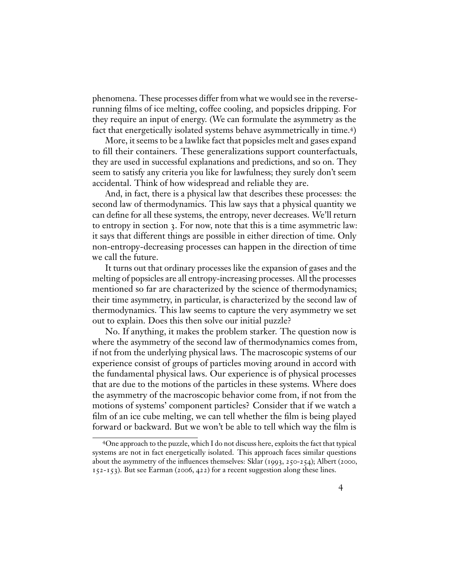phenomena. These processes differ from what we would see in the reverserunning films of ice melting, coffee cooling, and popsicles dripping. For they require an input of energy. (We can formulate the asymmetry as the fact that energetically isolated systems behave asymmetrically in time.<sup>4</sup> )

More, it seems to be a lawlike fact that popsicles melt and gases expand to fill their containers. These generalizations support counterfactuals, they are used in successful explanations and predictions, and so on. They seem to satisfy any criteria you like for lawfulness; they surely don't seem accidental. Think of how widespread and reliable they are.

And, in fact, there is a physical law that describes these processes: the second law of thermodynamics. This law says that a physical quantity we can define for all these systems, the entropy, never decreases. We'll return to entropy in section 3. For now, note that this is a time asymmetric law: it says that different things are possible in either direction of time. Only non-entropy-decreasing processes can happen in the direction of time we call the future.

It turns out that ordinary processes like the expansion of gases and the melting of popsicles are all entropy-increasing processes. All the processes mentioned so far are characterized by the science of thermodynamics; their time asymmetry, in particular, is characterized by the second law of thermodynamics. This law seems to capture the very asymmetry we set out to explain. Does this then solve our initial puzzle?

No. If anything, it makes the problem starker. The question now is where the asymmetry of the second law of thermodynamics comes from, if not from the underlying physical laws. The macroscopic systems of our experience consist of groups of particles moving around in accord with the fundamental physical laws. Our experience is of physical processes that are due to the motions of the particles in these systems. Where does the asymmetry of the macroscopic behavior come from, if not from the motions of systems' component particles? Consider that if we watch a film of an ice cube melting, we can tell whether the film is being played forward or backward. But we won't be able to tell which way the film is

<sup>4</sup>One approach to the puzzle, which I do not discuss here, exploits the fact that typical systems are not in fact energetically isolated. This approach faces similar questions about the asymmetry of the influences themselves: Sklar (1993, 250-254); Albert (2000, 152-153). But see Earman (2006, 422) for a recent suggestion along these lines.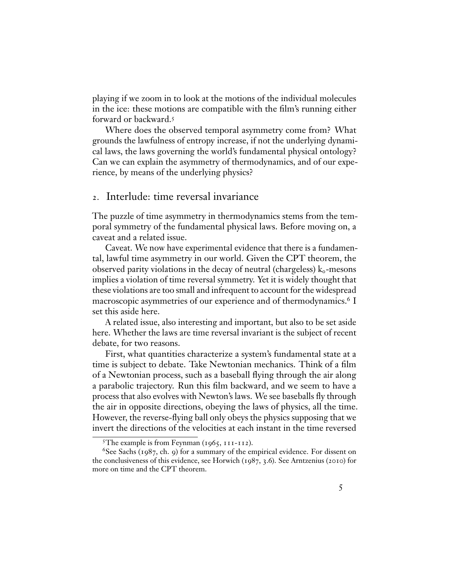playing if we zoom in to look at the motions of the individual molecules in the ice: these motions are compatible with the film's running either forward or backward.<sup>5</sup>

Where does the observed temporal asymmetry come from? What grounds the lawfulness of entropy increase, if not the underlying dynamical laws, the laws governing the world's fundamental physical ontology? Can we can explain the asymmetry of thermodynamics, and of our experience, by means of the underlying physics?

### 2. Interlude: time reversal invariance

The puzzle of time asymmetry in thermodynamics stems from the temporal symmetry of the fundamental physical laws. Before moving on, a caveat and a related issue.

Caveat. We now have experimental evidence that there is a fundamental, lawful time asymmetry in our world. Given the CPT theorem, the observed parity violations in the decay of neutral (chargeless)  $k_0$ -mesons implies a violation of time reversal symmetry. Yet it is widely thought that these violations are too small and infrequent to account for the widespread macroscopic asymmetries of our experience and of thermodynamics.<sup>6</sup> I set this aside here.

A related issue, also interesting and important, but also to be set aside here. Whether the laws are time reversal invariant is the subject of recent debate, for two reasons.

First, what quantities characterize a system's fundamental state at a time is subject to debate. Take Newtonian mechanics. Think of a film of a Newtonian process, such as a baseball flying through the air along a parabolic trajectory. Run this film backward, and we seem to have a process that also evolves with Newton's laws. We see baseballs fly through the air in opposite directions, obeying the laws of physics, all the time. However, the reverse-flying ball only obeys the physics supposing that we invert the directions of the velocities at each instant in the time reversed

<sup>&</sup>lt;sup>5</sup>The example is from Feynman (1965, 111-112).

<sup>&</sup>lt;sup>6</sup>See Sachs (1987, ch. 9) for a summary of the empirical evidence. For dissent on the conclusiveness of this evidence, see Horwich (1987, 3.6). See Arntzenius (2010) for more on time and the CPT theorem.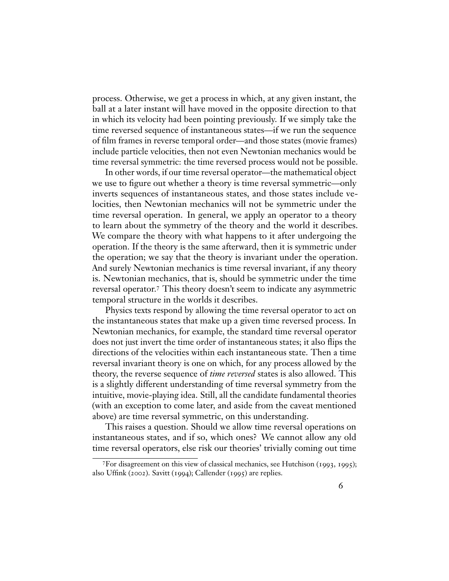process. Otherwise, we get a process in which, at any given instant, the ball at a later instant will have moved in the opposite direction to that in which its velocity had been pointing previously. If we simply take the time reversed sequence of instantaneous states—if we run the sequence of film frames in reverse temporal order—and those states (movie frames) include particle velocities, then not even Newtonian mechanics would be time reversal symmetric: the time reversed process would not be possible.

In other words, if our time reversal operator—the mathematical object we use to figure out whether a theory is time reversal symmetric—only inverts sequences of instantaneous states, and those states include velocities, then Newtonian mechanics will not be symmetric under the time reversal operation. In general, we apply an operator to a theory to learn about the symmetry of the theory and the world it describes. We compare the theory with what happens to it after undergoing the operation. If the theory is the same afterward, then it is symmetric under the operation; we say that the theory is invariant under the operation. And surely Newtonian mechanics is time reversal invariant, if any theory is. Newtonian mechanics, that is, should be symmetric under the time reversal operator.<sup>7</sup> This theory doesn't seem to indicate any asymmetric temporal structure in the worlds it describes.

Physics texts respond by allowing the time reversal operator to act on the instantaneous states that make up a given time reversed process. In Newtonian mechanics, for example, the standard time reversal operator does not just invert the time order of instantaneous states; it also flips the directions of the velocities within each instantaneous state. Then a time reversal invariant theory is one on which, for any process allowed by the theory, the reverse sequence of *time reversed* states is also allowed. This is a slightly different understanding of time reversal symmetry from the intuitive, movie-playing idea. Still, all the candidate fundamental theories (with an exception to come later, and aside from the caveat mentioned above) are time reversal symmetric, on this understanding.

This raises a question. Should we allow time reversal operations on instantaneous states, and if so, which ones? We cannot allow any old time reversal operators, else risk our theories' trivially coming out time

<sup>7</sup>For disagreement on this view of classical mechanics, see Hutchison (1993, 1995); also Ufnk (2002). Savitt (1994); Callender (1995) are replies.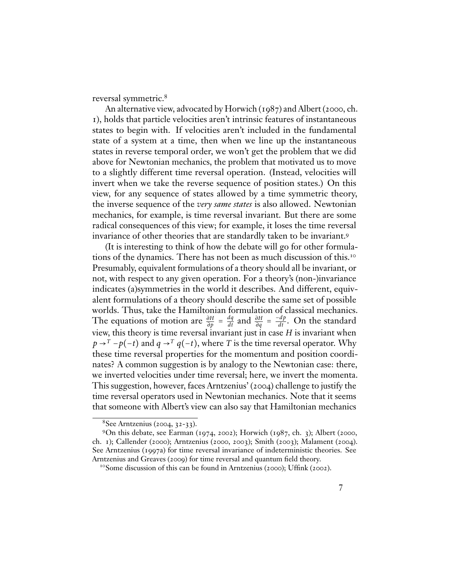reversal symmetric.<sup>8</sup>

An alternative view, advocated by Horwich (1987) and Albert (2000, ch. 1), holds that particle velocities aren't intrinsic features of instantaneous states to begin with. If velocities aren't included in the fundamental state of a system at a time, then when we line up the instantaneous states in reverse temporal order, we won't get the problem that we did above for Newtonian mechanics, the problem that motivated us to move to a slightly different time reversal operation. (Instead, velocities will invert when we take the reverse sequence of position states.) On this view, for any sequence of states allowed by a time symmetric theory, the inverse sequence of the *very same states* is also allowed. Newtonian mechanics, for example, is time reversal invariant. But there are some radical consequences of this view; for example, it loses the time reversal invariance of other theories that are standardly taken to be invariant.<sup>9</sup>

(It is interesting to think of how the debate will go for other formulations of the dynamics. There has not been as much discussion of this.<sup>10</sup> Presumably, equivalent formulations of a theory should all be invariant, or not, with respect to any given operation. For a theory's (non-)invariance indicates (a)symmetries in the world it describes. And different, equivalent formulations of a theory should describe the same set of possible worlds. Thus, take the Hamiltonian formulation of classical mechanics. The equations of motion are  $\frac{\partial H}{\partial p} = \frac{dq}{dt}$  and  $\frac{\partial H}{\partial q} = \frac{-dp}{dt}$ . On the standard view, this theory is time reversal invariant just in case  $H$  is invariant when  $p \rightarrow T - p(-t)$  and  $q \rightarrow T q(-t)$ , where T is the time reversal operator. Why these time reversal properties for the momentum and position coordinates? A common suggestion is by analogy to the Newtonian case: there, we inverted velocities under time reversal; here, we invert the momenta. This suggestion, however, faces Arntzenius' (2004) challenge to justify the time reversal operators used in Newtonian mechanics. Note that it seems that someone with Albert's view can also say that Hamiltonian mechanics

 $8$ See Arntzenius (2004, 32-33).

<sup>9</sup>On this debate, see Earman (1974, 2002); Horwich (1987, ch. 3); Albert (2000, ch. 1); Callender (2000); Arntzenius (2000, 2003); Smith (2003); Malament (2004). See Arntzenius (1997a) for time reversal invariance of indeterministic theories. See Arntzenius and Greaves (2009) for time reversal and quantum field theory.

 $10^{\circ}$  Some discussion of this can be found in Arntzenius (2000); Uffink (2002).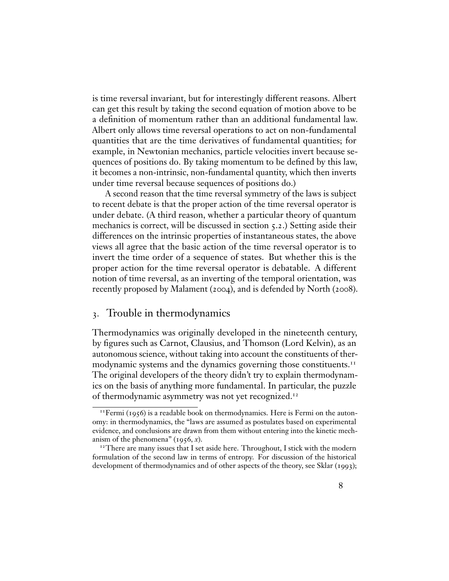is time reversal invariant, but for interestingly different reasons. Albert can get this result by taking the second equation of motion above to be a definition of momentum rather than an additional fundamental law. Albert only allows time reversal operations to act on non-fundamental quantities that are the time derivatives of fundamental quantities; for example, in Newtonian mechanics, particle velocities invert because sequences of positions do. By taking momentum to be defined by this law, it becomes a non-intrinsic, non-fundamental quantity, which then inverts under time reversal because sequences of positions do.)

A second reason that the time reversal symmetry of the laws is subject to recent debate is that the proper action of the time reversal operator is under debate. (A third reason, whether a particular theory of quantum mechanics is correct, will be discussed in section 5.2.) Setting aside their differences on the intrinsic properties of instantaneous states, the above views all agree that the basic action of the time reversal operator is to invert the time order of a sequence of states. But whether this is the proper action for the time reversal operator is debatable. A different notion of time reversal, as an inverting of the temporal orientation, was recently proposed by Malament (2004), and is defended by North (2008).

### 3. Trouble in thermodynamics

Thermodynamics was originally developed in the nineteenth century, by figures such as Carnot, Clausius, and Thomson (Lord Kelvin), as an autonomous science, without taking into account the constituents of thermodynamic systems and the dynamics governing those constituents.<sup>11</sup> The original developers of the theory didn't try to explain thermodynamics on the basis of anything more fundamental. In particular, the puzzle of thermodynamic asymmetry was not yet recognized.<sup>12</sup>

<sup>&</sup>lt;sup>11</sup> Fermi (1956) is a readable book on thermodynamics. Here is Fermi on the autonomy: in thermodynamics, the "laws are assumed as postulates based on experimental evidence, and conclusions are drawn from them without entering into the kinetic mechanism of the phenomena" (1956, *x*).

<sup>&</sup>lt;sup>12</sup>There are many issues that I set aside here. Throughout, I stick with the modern formulation of the second law in terms of entropy. For discussion of the historical development of thermodynamics and of other aspects of the theory, see Sklar (1993);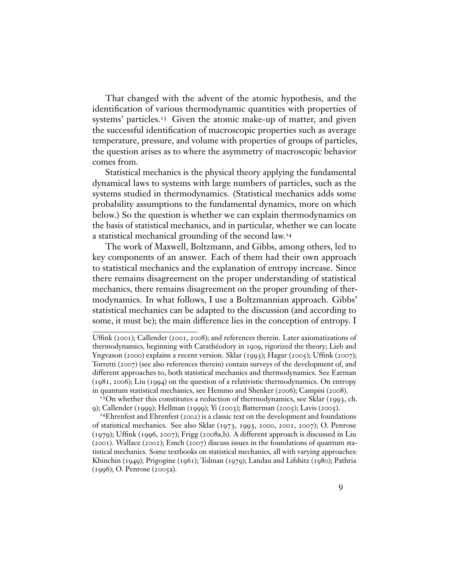That changed with the advent of the atomic hypothesis, and the identification of various thermodynamic quantities with properties of systems' particles.<sup>13</sup> Given the atomic make-up of matter, and given the successful identication of macroscopic properties such as average temperature, pressure, and volume with properties of groups of particles, the question arises as to where the asymmetry of macroscopic behavior comes from.

Statistical mechanics is the physical theory applying the fundamental dynamical laws to systems with large numbers of particles, such as the systems studied in thermodynamics. (Statistical mechanics adds some probability assumptions to the fundamental dynamics, more on which below.) So the question is whether we can explain thermodynamics on the basis of statistical mechanics, and in particular, whether we can locate a statistical mechanical grounding of the second law.<sup>14</sup>

The work of Maxwell, Boltzmann, and Gibbs, among others, led to key components of an answer. Each of them had their own approach to statistical mechanics and the explanation of entropy increase. Since there remains disagreement on the proper understanding of statistical mechanics, there remains disagreement on the proper grounding of thermodynamics. In what follows, I use a Boltzmannian approach. Gibbs' statistical mechanics can be adapted to the discussion (and according to some, it must be); the main difference lies in the conception of entropy. I

Ufnk (2001); Callender (2001, 2008); and references therein. Later axiomatizations of thermodynamics, beginning with Carathéodory in 1909, rigorized the theory; Lieb and Yngvason (2000) explains a recent version. Sklar (1993); Hagar (2005); Uffink (2007); Torretti (2007) (see also references therein) contain surveys of the development of, and different approaches to, both statistical mechanics and thermodynamics. See Earman (1981, 2006); Liu (1994) on the question of a relativistic thermodynamics. On entropy in quantum statistical mechanics, see Hemmo and Shenker (2006); Campisi (2008).

<sup>&</sup>lt;sup>13</sup>On whether this constitutes a reduction of thermodynamics, see Sklar (1993, ch. 9); Callender (1999); Hellman (1999); Yi (2003); Batterman (2005); Lavis (2005).

<sup>&</sup>lt;sup>14</sup>Ehrenfest and Ehrenfest (2002) is a classic text on the development and foundations of statistical mechanics. See also Sklar (1973, 1993, 2000, 2001, 2007); O. Penrose (1979); Ufnk (1996, 2007); Frigg (2008a,b). A different approach is discussed in Liu (2001). Wallace (2002); Emch (2007) discuss issues in the foundations of quantum statistical mechanics. Some textbooks on statistical mechanics, all with varying approaches: Khinchin (1949); Prigogine (1961); Tolman (1979); Landau and Lifshitz (1980); Pathria (1996); O. Penrose (2005a).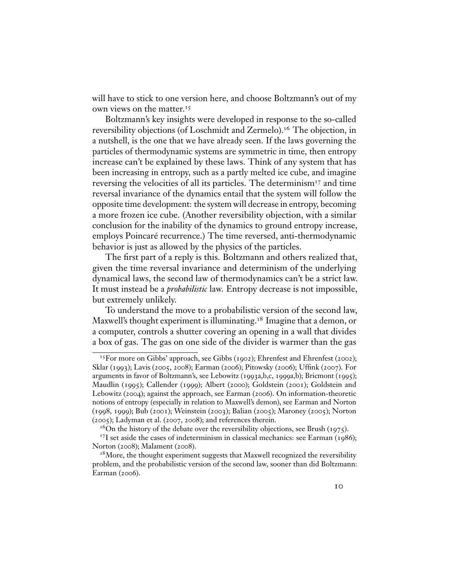will have to stick to one version here, and choose Boltzmann's out of my own views on the matter.<sup>15</sup>

Boltzmann's key insights were developed in response to the so-called reversibility objections (of Loschmidt and Zermelo).<sup>16</sup> The objection, in a nutshell, is the one that we have already seen. If the laws governing the particles of thermodynamic systems are symmetric in time, then entropy increase can't be explained by these laws. Think of any system that has been increasing in entropy, such as a partly melted ice cube, and imagine reversing the velocities of all its particles. The determinism<sup>17</sup> and time reversal invariance of the dynamics entail that the system will follow the opposite time development: the system will decrease in entropy, becoming a more frozen ice cube. (Another reversibility objection, with a similar conclusion for the inability of the dynamics to ground entropy increase, employs Poincaré recurrence.) The time reversed, anti-thermodynamic behavior is just as allowed by the physics of the particles.

The first part of a reply is this. Boltzmann and others realized that, given the time reversal invariance and determinism of the underlying dynamical laws, the second law of thermodynamics can't be a strict law. It must instead be a *probabilistic* law. Entropy decrease is not impossible, but extremely unlikely.

To understand the move to a probabilistic version of the second law, Maxwell's thought experiment is illuminating.<sup>18</sup> Imagine that a demon, or a computer, controls a shutter covering an opening in a wall that divides a box of gas. The gas on one side of the divider is warmer than the gas

<sup>&</sup>lt;sup>15</sup>For more on Gibbs' approach, see Gibbs (1902); Ehrenfest and Ehrenfest (2002); Sklar (1993); Lavis (2005, 2008); Earman (2006); Pitowsky (2006); Ufnk (2007). For arguments in favor of Boltzmann's, see Lebowitz (1993a,b,c, 1999a,b); Bricmont (1995); Maudlin (1995); Callender (1999); Albert (2000); Goldstein (2001); Goldstein and Lebowitz (2004); against the approach, see Earman (2006). On information-theoretic notions of entropy (especially in relation to Maxwell's demon), see Earman and Norton (1998, 1999); Bub (2001); Weinstein (2003); Balian (2005); Maroney (2005); Norton (2005); Ladyman et al. (2007, 2008); and references therein.

 $16$ On the history of the debate over the reversibility objections, see Brush (1975).

<sup>&</sup>lt;sup>17</sup>I set aside the cases of indeterminism in classical mechanics: see Earman (1986); Norton (2008); Malament (2008).

 $18$ More, the thought experiment suggests that Maxwell recognized the reversibility problem, and the probabilistic version of the second law, sooner than did Boltzmann: Earman (2006).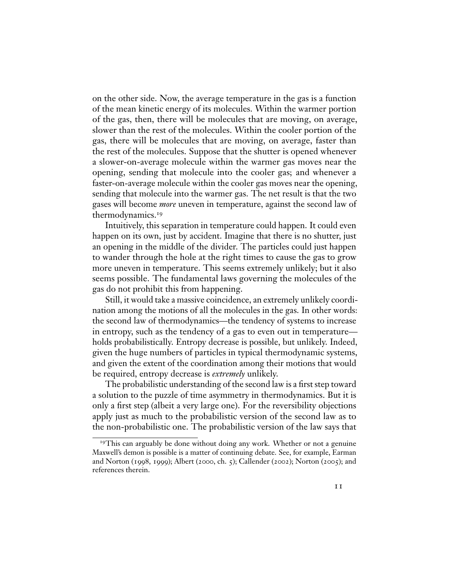on the other side. Now, the average temperature in the gas is a function of the mean kinetic energy of its molecules. Within the warmer portion of the gas, then, there will be molecules that are moving, on average, slower than the rest of the molecules. Within the cooler portion of the gas, there will be molecules that are moving, on average, faster than the rest of the molecules. Suppose that the shutter is opened whenever a slower-on-average molecule within the warmer gas moves near the opening, sending that molecule into the cooler gas; and whenever a faster-on-average molecule within the cooler gas moves near the opening, sending that molecule into the warmer gas. The net result is that the two gases will become *more* uneven in temperature, against the second law of thermodynamics.<sup>19</sup>

Intuitively, this separation in temperature could happen. It could even happen on its own, just by accident. Imagine that there is no shutter, just an opening in the middle of the divider. The particles could just happen to wander through the hole at the right times to cause the gas to grow more uneven in temperature. This seems extremely unlikely; but it also seems possible. The fundamental laws governing the molecules of the gas do not prohibit this from happening.

Still, it would take a massive coincidence, an extremely unlikely coordination among the motions of all the molecules in the gas. In other words: the second law of thermodynamics—the tendency of systems to increase in entropy, such as the tendency of a gas to even out in temperature holds probabilistically. Entropy decrease is possible, but unlikely. Indeed, given the huge numbers of particles in typical thermodynamic systems, and given the extent of the coordination among their motions that would be required, entropy decrease is *extremely* unlikely.

The probabilistic understanding of the second law is a first step toward a solution to the puzzle of time asymmetry in thermodynamics. But it is only a first step (albeit a very large one). For the reversibility objections apply just as much to the probabilistic version of the second law as to the non-probabilistic one. The probabilistic version of the law says that

<sup>&</sup>lt;sup>19</sup>This can arguably be done without doing any work. Whether or not a genuine Maxwell's demon is possible is a matter of continuing debate. See, for example, Earman and Norton (1998, 1999); Albert (2000, ch. 5); Callender (2002); Norton (2005); and references therein.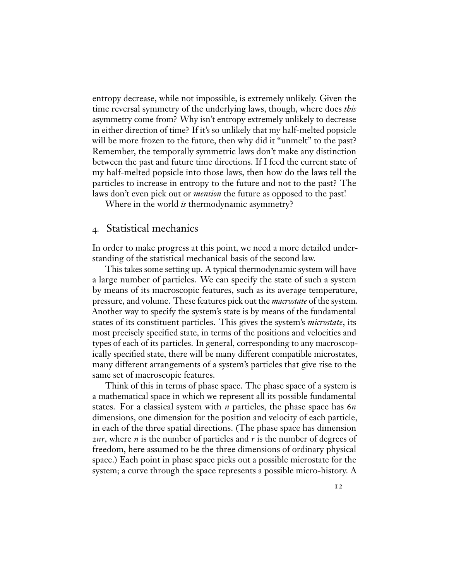entropy decrease, while not impossible, is extremely unlikely. Given the time reversal symmetry of the underlying laws, though, where does *this* asymmetry come from? Why isn't entropy extremely unlikely to decrease in either direction of time? If it's so unlikely that my half-melted popsicle will be more frozen to the future, then why did it "unmelt" to the past? Remember, the temporally symmetric laws don't make any distinction between the past and future time directions. If I feed the current state of my half-melted popsicle into those laws, then how do the laws tell the particles to increase in entropy to the future and not to the past? The laws don't even pick out or *mention* the future as opposed to the past!

Where in the world *is* thermodynamic asymmetry?

### 4. Statistical mechanics

In order to make progress at this point, we need a more detailed understanding of the statistical mechanical basis of the second law.

This takes some setting up. A typical thermodynamic system will have a large number of particles. We can specify the state of such a system by means of its macroscopic features, such as its average temperature, pressure, and volume. These features pick out the *macrostate* of the system. Another way to specify the system's state is by means of the fundamental states of its constituent particles. This gives the system's *microstate*, its most precisely specied state, in terms of the positions and velocities and types of each of its particles. In general, corresponding to any macroscopically specied state, there will be many different compatible microstates, many different arrangements of a system's particles that give rise to the same set of macroscopic features.

Think of this in terms of phase space. The phase space of a system is a mathematical space in which we represent all its possible fundamental states. For a classical system with *n* particles, the phase space has  $6n$ dimensions, one dimension for the position and velocity of each particle, in each of the three spatial directions. (The phase space has dimension 2*nr*, where *n* is the number of particles and *r* is the number of degrees of freedom, here assumed to be the three dimensions of ordinary physical space.) Each point in phase space picks out a possible microstate for the system; a curve through the space represents a possible micro-history. A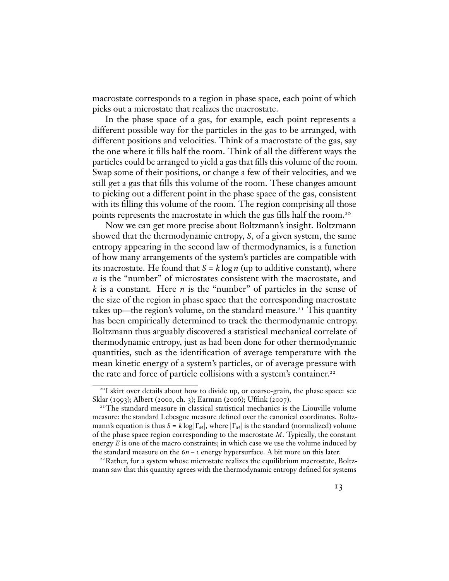macrostate corresponds to a region in phase space, each point of which picks out a microstate that realizes the macrostate.

In the phase space of a gas, for example, each point represents a different possible way for the particles in the gas to be arranged, with different positions and velocities. Think of a macrostate of the gas, say the one where it lls half the room. Think of all the different ways the particles could be arranged to yield a gas that lls this volume of the room. Swap some of their positions, or change a few of their velocities, and we still get a gas that fills this volume of the room. These changes amount to picking out a different point in the phase space of the gas, consistent with its filling this volume of the room. The region comprising all those points represents the macrostate in which the gas fills half the room.<sup>20</sup>

Now we can get more precise about Boltzmann's insight. Boltzmann showed that the thermodynamic entropy, S, of a given system, the same entropy appearing in the second law of thermodynamics, is a function of how many arrangements of the system's particles are compatible with its macrostate. He found that  $S = k \log n$  (up to additive constant), where  $n$  is the "number" of microstates consistent with the macrostate, and k is a constant. Here  $n$  is the "number" of particles in the sense of the size of the region in phase space that the corresponding macrostate takes up—the region's volume, on the standard measure.<sup>21</sup> This quantity has been empirically determined to track the thermodynamic entropy. Boltzmann thus arguably discovered a statistical mechanical correlate of thermodynamic entropy, just as had been done for other thermodynamic quantities, such as the identication of average temperature with the mean kinetic energy of a system's particles, or of average pressure with the rate and force of particle collisions with a system's container.<sup>22</sup>

<sup>&</sup>lt;sup>20</sup>I skirt over details about how to divide up, or coarse-grain, the phase space: see Sklar (1993); Albert (2000, ch. 3); Earman (2006); Ufnk (2007).

<sup>&</sup>lt;sup>21</sup>The standard measure in classical statistical mechanics is the Liouville volume measure: the standard Lebesgue measure defined over the canonical coordinates. Boltzmann's equation is thus  $S = k \log |\Gamma_M|$ , where  $|\Gamma_M|$  is the standard (normalized) volume of the phase space region corresponding to the macrostate M. Typically, the constant energy  $E$  is one of the macro constraints; in which case we use the volume induced by the standard measure on the  $6n - 1$  energy hypersurface. A bit more on this later.

<sup>&</sup>lt;sup>22</sup>Rather, for a system whose microstate realizes the equilibrium macrostate, Boltzmann saw that this quantity agrees with the thermodynamic entropy defined for systems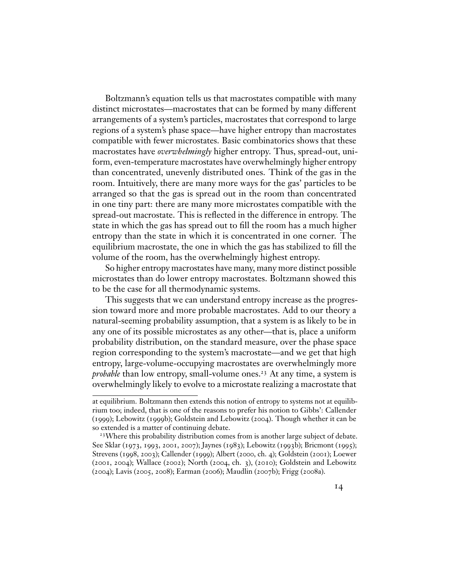Boltzmann's equation tells us that macrostates compatible with many distinct microstates—macrostates that can be formed by many different arrangements of a system's particles, macrostates that correspond to large regions of a system's phase space—have higher entropy than macrostates compatible with fewer microstates. Basic combinatorics shows that these macrostates have *overwhelmingly* higher entropy. Thus, spread-out, uniform, even-temperature macrostates have overwhelmingly higher entropy than concentrated, unevenly distributed ones. Think of the gas in the room. Intuitively, there are many more ways for the gas' particles to be arranged so that the gas is spread out in the room than concentrated in one tiny part: there are many more microstates compatible with the spread-out macrostate. This is reflected in the difference in entropy. The state in which the gas has spread out to fill the room has a much higher entropy than the state in which it is concentrated in one corner. The equilibrium macrostate, the one in which the gas has stabilized to fill the volume of the room, has the overwhelmingly highest entropy.

So higher entropy macrostates have many, many more distinct possible microstates than do lower entropy macrostates. Boltzmann showed this to be the case for all thermodynamic systems.

This suggests that we can understand entropy increase as the progression toward more and more probable macrostates. Add to our theory a natural-seeming probability assumption, that a system is as likely to be in any one of its possible microstates as any other—that is, place a uniform probability distribution, on the standard measure, over the phase space region corresponding to the system's macrostate—and we get that high entropy, large-volume-occupying macrostates are overwhelmingly more *probable* than low entropy, small-volume ones.<sup>23</sup> At any time, a system is overwhelmingly likely to evolve to a microstate realizing a macrostate that

at equilibrium. Boltzmann then extends this notion of entropy to systems not at equilibrium too; indeed, that is one of the reasons to prefer his notion to Gibbs': Callender (1999); Lebowitz (1999b); Goldstein and Lebowitz (2004). Though whether it can be so extended is a matter of continuing debate.

<sup>&</sup>lt;sup>23</sup>Where this probability distribution comes from is another large subject of debate. See Sklar (1973, 1993, 2001, 2007); Jaynes (1983); Lebowitz (1993b); Bricmont (1995); Strevens (1998, 2003); Callender (1999); Albert (2000, ch. 4); Goldstein (2001); Loewer (2001, 2004); Wallace (2002); North (2004, ch. 3), (2010); Goldstein and Lebowitz (2004); Lavis (2005, 2008); Earman (2006); Maudlin (2007b); Frigg (2008a).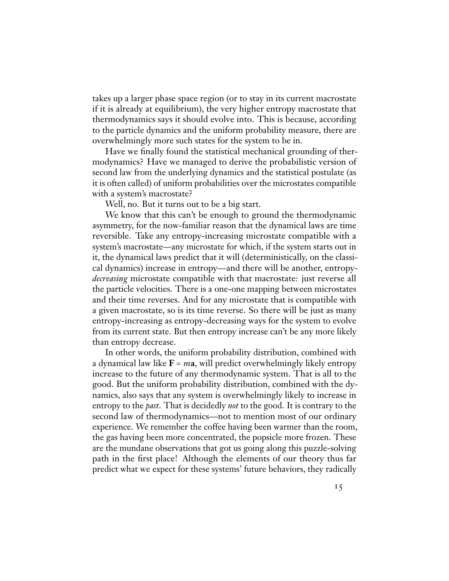takes up a larger phase space region (or to stay in its current macrostate if it is already at equilibrium), the very higher entropy macrostate that thermodynamics says it should evolve into. This is because, according to the particle dynamics and the uniform probability measure, there are overwhelmingly more such states for the system to be in.

Have we finally found the statistical mechanical grounding of thermodynamics? Have we managed to derive the probabilistic version of second law from the underlying dynamics and the statistical postulate (as it is often called) of uniform probabilities over the microstates compatible with a system's macrostate?

Well, no. But it turns out to be a big start.

We know that this can't be enough to ground the thermodynamic asymmetry, for the now-familiar reason that the dynamical laws are time reversible. Take any entropy-increasing microstate compatible with a system's macrostate—any microstate for which, if the system starts out in it, the dynamical laws predict that it will (deterministically, on the classical dynamics) increase in entropy—and there will be another, entropy*decreasing* microstate compatible with that macrostate: just reverse all the particle velocities. There is a one-one mapping between microstates and their time reverses. And for any microstate that is compatible with a given macrostate, so is its time reverse. So there will be just as many entropy-increasing as entropy-decreasing ways for the system to evolve from its current state. But then entropy increase can't be any more likely than entropy decrease.

In other words, the uniform probability distribution, combined with a dynamical law like  $\mathbf{F} = m\mathbf{a}$ , will predict overwhelmingly likely entropy increase to the future of any thermodynamic system. That is all to the good. But the uniform probability distribution, combined with the dynamics, also says that any system is overwhelmingly likely to increase in entropy to the *past*. That is decidedly *not* to the good. It is contrary to the second law of thermodynamics—not to mention most of our ordinary experience. We remember the coffee having been warmer than the room, the gas having been more concentrated, the popsicle more frozen. These are the mundane observations that got us going along this puzzle-solving path in the first place! Although the elements of our theory thus far predict what we expect for these systems' future behaviors, they radically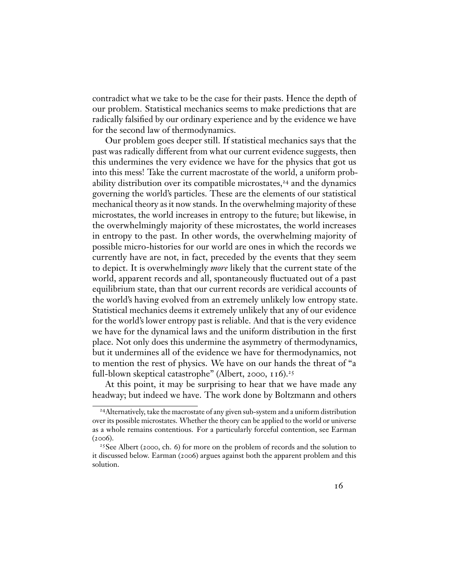contradict what we take to be the case for their pasts. Hence the depth of our problem. Statistical mechanics seems to make predictions that are radically falsied by our ordinary experience and by the evidence we have for the second law of thermodynamics.

Our problem goes deeper still. If statistical mechanics says that the past was radically different from what our current evidence suggests, then this undermines the very evidence we have for the physics that got us into this mess! Take the current macrostate of the world, a uniform probability distribution over its compatible microstates,<sup>24</sup> and the dynamics governing the world's particles. These are the elements of our statistical mechanical theory as it now stands. In the overwhelming majority of these microstates, the world increases in entropy to the future; but likewise, in the overwhelmingly majority of these microstates, the world increases in entropy to the past. In other words, the overwhelming majority of possible micro-histories for our world are ones in which the records we currently have are not, in fact, preceded by the events that they seem to depict. It is overwhelmingly *more* likely that the current state of the world, apparent records and all, spontaneously fluctuated out of a past equilibrium state, than that our current records are veridical accounts of the world's having evolved from an extremely unlikely low entropy state. Statistical mechanics deems it extremely unlikely that any of our evidence for the world's lower entropy past is reliable. And that is the very evidence we have for the dynamical laws and the uniform distribution in the first place. Not only does this undermine the asymmetry of thermodynamics, but it undermines all of the evidence we have for thermodynamics, not to mention the rest of physics. We have on our hands the threat of "a full-blown skeptical catastrophe" (Albert, 2000, 116).<sup>25</sup>

At this point, it may be surprising to hear that we have made any headway; but indeed we have. The work done by Boltzmann and others

<sup>24</sup>Alternatively, take the macrostate of any given sub-system and a uniform distribution over its possible microstates. Whether the theory can be applied to the world or universe as a whole remains contentious. For a particularly forceful contention, see Earman  $(2006).$ 

<sup>&</sup>lt;sup>25</sup>See Albert (2000, ch. 6) for more on the problem of records and the solution to it discussed below. Earman (2006) argues against both the apparent problem and this solution.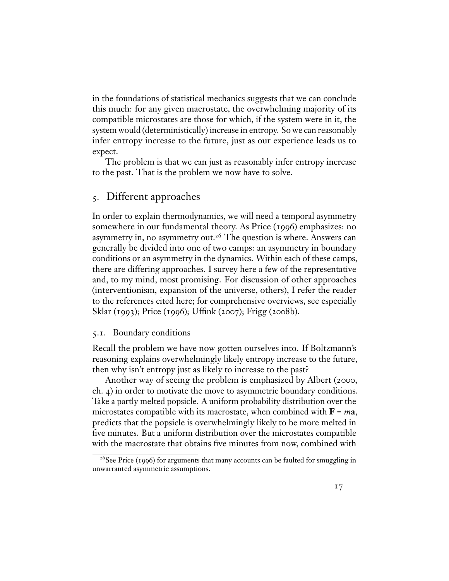in the foundations of statistical mechanics suggests that we can conclude this much: for any given macrostate, the overwhelming majority of its compatible microstates are those for which, if the system were in it, the system would (deterministically) increase in entropy. So we can reasonably infer entropy increase to the future, just as our experience leads us to expect.

The problem is that we can just as reasonably infer entropy increase to the past. That is the problem we now have to solve.

# 5. Different approaches

In order to explain thermodynamics, we will need a temporal asymmetry somewhere in our fundamental theory. As Price (1996) emphasizes: no asymmetry in, no asymmetry out.<sup>26</sup> The question is where. Answers can generally be divided into one of two camps: an asymmetry in boundary conditions or an asymmetry in the dynamics. Within each of these camps, there are differing approaches. I survey here a few of the representative and, to my mind, most promising. For discussion of other approaches (interventionism, expansion of the universe, others), I refer the reader to the references cited here; for comprehensive overviews, see especially Sklar (1993); Price (1996); Ufnk (2007); Frigg (2008b).

#### 5.1. Boundary conditions

Recall the problem we have now gotten ourselves into. If Boltzmann's reasoning explains overwhelmingly likely entropy increase to the future, then why isn't entropy just as likely to increase to the past?

Another way of seeing the problem is emphasized by Albert (2000, ch. 4) in order to motivate the move to asymmetric boundary conditions. Take a partly melted popsicle. A uniform probability distribution over the microstates compatible with its macrostate, when combined with  $\mathbf{F} = m\mathbf{a}$ , predicts that the popsicle is overwhelmingly likely to be more melted in five minutes. But a uniform distribution over the microstates compatible with the macrostate that obtains five minutes from now, combined with

<sup>&</sup>lt;sup>26</sup>See Price (1996) for arguments that many accounts can be faulted for smuggling in unwarranted asymmetric assumptions.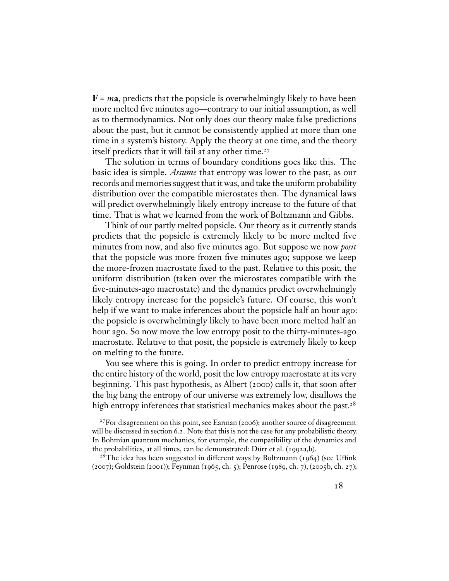**, predicts that the popsicle is overwhelmingly likely to have been** more melted five minutes ago—contrary to our initial assumption, as well as to thermodynamics. Not only does our theory make false predictions about the past, but it cannot be consistently applied at more than one time in a system's history. Apply the theory at one time, and the theory itself predicts that it will fail at any other time.<sup>27</sup>

The solution in terms of boundary conditions goes like this. The basic idea is simple. *Assume* that entropy was lower to the past, as our records and memories suggest that it was, and take the uniform probability distribution over the compatible microstates then. The dynamical laws will predict overwhelmingly likely entropy increase to the future of that time. That is what we learned from the work of Boltzmann and Gibbs.

Think of our partly melted popsicle. Our theory as it currently stands predicts that the popsicle is extremely likely to be more melted five minutes from now, and also five minutes ago. But suppose we now *posit* that the popsicle was more frozen five minutes ago; suppose we keep the more-frozen macrostate fixed to the past. Relative to this posit, the uniform distribution (taken over the microstates compatible with the five-minutes-ago macrostate) and the dynamics predict overwhelmingly likely entropy increase for the popsicle's future. Of course, this won't help if we want to make inferences about the popsicle half an hour ago: the popsicle is overwhelmingly likely to have been more melted half an hour ago. So now move the low entropy posit to the thirty-minutes-ago macrostate. Relative to that posit, the popsicle is extremely likely to keep on melting to the future.

You see where this is going. In order to predict entropy increase for the entire history of the world, posit the low entropy macrostate at its very beginning. This past hypothesis, as Albert (2000) calls it, that soon after the big bang the entropy of our universe was extremely low, disallows the high entropy inferences that statistical mechanics makes about the past.<sup>28</sup>

<sup>&</sup>lt;sup>27</sup>For disagreement on this point, see Earman (2006); another source of disagreement will be discussed in section 6.2. Note that this is not the case for any probabilistic theory. In Bohmian quantum mechanics, for example, the compatibility of the dynamics and the probabilities, at all times, can be demonstrated: Dürr et al. (1992a,b).

<sup>&</sup>lt;sup>28</sup>The idea has been suggested in different ways by Boltzmann (1964) (see Uffink (2007); Goldstein (2001)); Feynman (1965, ch. 5); Penrose (1989, ch. 7), (2005b, ch. 27);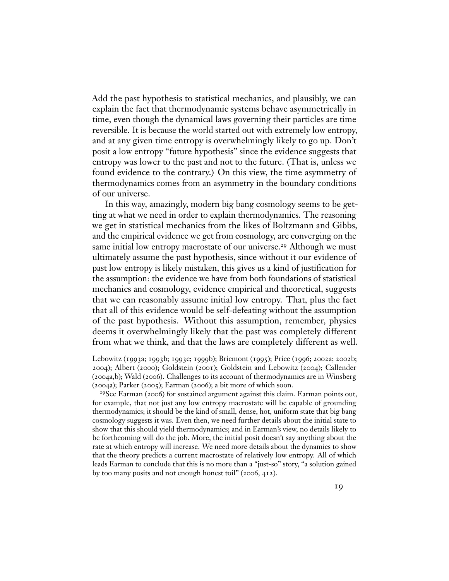Add the past hypothesis to statistical mechanics, and plausibly, we can explain the fact that thermodynamic systems behave asymmetrically in time, even though the dynamical laws governing their particles are time reversible. It is because the world started out with extremely low entropy, and at any given time entropy is overwhelmingly likely to go up. Don't posit a low entropy "future hypothesis" since the evidence suggests that entropy was lower to the past and not to the future. (That is, unless we found evidence to the contrary.) On this view, the time asymmetry of thermodynamics comes from an asymmetry in the boundary conditions of our universe.

In this way, amazingly, modern big bang cosmology seems to be getting at what we need in order to explain thermodynamics. The reasoning we get in statistical mechanics from the likes of Boltzmann and Gibbs, and the empirical evidence we get from cosmology, are converging on the same initial low entropy macrostate of our universe.<sup>29</sup> Although we must ultimately assume the past hypothesis, since without it our evidence of past low entropy is likely mistaken, this gives us a kind of justication for the assumption: the evidence we have from both foundations of statistical mechanics and cosmology, evidence empirical and theoretical, suggests that we can reasonably assume initial low entropy. That, plus the fact that all of this evidence would be self-defeating without the assumption of the past hypothesis. Without this assumption, remember, physics deems it overwhelmingly likely that the past was completely different from what we think, and that the laws are completely different as well.

Lebowitz (1993a; 1993b; 1993c; 1999b); Bricmont (1995); Price (1996; 2002a; 2002b; 2004); Albert (2000); Goldstein (2001); Goldstein and Lebowitz (2004); Callender (2004a,b); Wald (2006). Challenges to its account of thermodynamics are in Winsberg (2004a); Parker (2005); Earman (2006); a bit more of which soon.

<sup>29</sup>See Earman (2006) for sustained argument against this claim. Earman points out, for example, that not just any low entropy macrostate will be capable of grounding thermodynamics; it should be the kind of small, dense, hot, uniform state that big bang cosmology suggests it was. Even then, we need further details about the initial state to show that this should yield thermodynamics; and in Earman's view, no details likely to be forthcoming will do the job. More, the initial posit doesn't say anything about the rate at which entropy will increase. We need more details about the dynamics to show that the theory predicts a current macrostate of relatively low entropy. All of which leads Earman to conclude that this is no more than a "just-so" story, "a solution gained by too many posits and not enough honest toil" (2006, 412).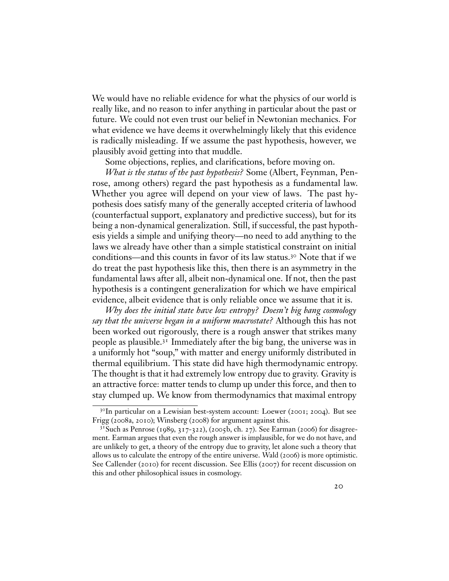We would have no reliable evidence for what the physics of our world is really like, and no reason to infer anything in particular about the past or future. We could not even trust our belief in Newtonian mechanics. For what evidence we have deems it overwhelmingly likely that this evidence is radically misleading. If we assume the past hypothesis, however, we plausibly avoid getting into that muddle.

Some objections, replies, and clarifications, before moving on.

*What is the status of the past hypothesis?* Some (Albert, Feynman, Penrose, among others) regard the past hypothesis as a fundamental law. Whether you agree will depend on your view of laws. The past hypothesis does satisfy many of the generally accepted criteria of lawhood (counterfactual support, explanatory and predictive success), but for its being a non-dynamical generalization. Still, if successful, the past hypothesis yields a simple and unifying theory—no need to add anything to the laws we already have other than a simple statistical constraint on initial conditions—and this counts in favor of its law status.<sup>30</sup> Note that if we do treat the past hypothesis like this, then there is an asymmetry in the fundamental laws after all, albeit non-dynamical one. If not, then the past hypothesis is a contingent generalization for which we have empirical evidence, albeit evidence that is only reliable once we assume that it is.

*Why does the initial state have low entropy? Doesn't big bang cosmology say that the universe began in a uniform macrostate?* Although this has not been worked out rigorously, there is a rough answer that strikes many people as plausible.<sup>31</sup> Immediately after the big bang, the universe was in a uniformly hot "soup," with matter and energy uniformly distributed in thermal equilibrium. This state did have high thermodynamic entropy. The thought is that it had extremely low entropy due to gravity. Gravity is an attractive force: matter tends to clump up under this force, and then to stay clumped up. We know from thermodynamics that maximal entropy

<sup>&</sup>lt;sup>30</sup>In particular on a Lewisian best-system account: Loewer (2001; 2004). But see Frigg (2008a, 2010); Winsberg (2008) for argument against this.

<sup>31</sup>Such as Penrose (1989, 317-322), (2005b, ch. 27). See Earman (2006) for disagreement. Earman argues that even the rough answer is implausible, for we do not have, and are unlikely to get, a theory of the entropy due to gravity, let alone such a theory that allows us to calculate the entropy of the entire universe. Wald (2006) is more optimistic. See Callender (2010) for recent discussion. See Ellis (2007) for recent discussion on this and other philosophical issues in cosmology.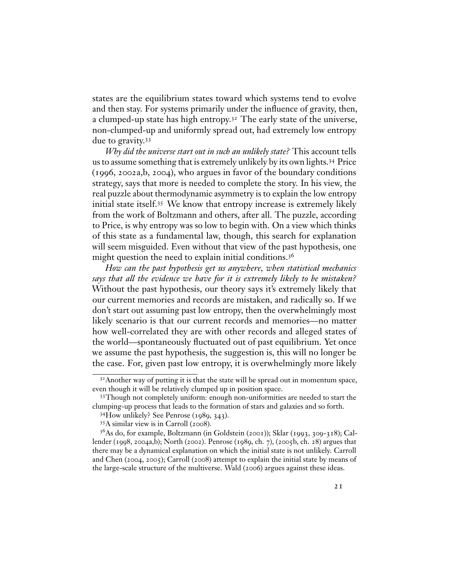states are the equilibrium states toward which systems tend to evolve and then stay. For systems primarily under the influence of gravity, then, a clumped-up state has high entropy.<sup>32</sup> The early state of the universe, non-clumped-up and uniformly spread out, had extremely low entropy due to gravity.<sup>33</sup>

*Why did the universe start out in such an unlikely state?* This account tells us to assume something that is extremely unlikely by its own lights.<sup>34</sup> Price (1996, 2002a,b, 2004), who argues in favor of the boundary conditions strategy, says that more is needed to complete the story. In his view, the real puzzle about thermodynamic asymmetry is to explain the low entropy initial state itself.<sup>35</sup> We know that entropy increase is extremely likely from the work of Boltzmann and others, after all. The puzzle, according to Price, is why entropy was so low to begin with. On a view which thinks of this state as a fundamental law, though, this search for explanation will seem misguided. Even without that view of the past hypothesis, one might question the need to explain initial conditions.<sup>36</sup>

*How can the past hypothesis get us anywhere, when statistical mechanics says that all the evidence we have for it is extremely likely to be mistaken?* Without the past hypothesis, our theory says it's extremely likely that our current memories and records are mistaken, and radically so. If we don't start out assuming past low entropy, then the overwhelmingly most likely scenario is that our current records and memories—no matter how well-correlated they are with other records and alleged states of the world—spontaneously fluctuated out of past equilibrium. Yet once we assume the past hypothesis, the suggestion is, this will no longer be the case. For, given past low entropy, it is overwhelmingly more likely

<sup>&</sup>lt;sup>32</sup> Another way of putting it is that the state will be spread out in momentum space, even though it will be relatively clumped up in position space.

<sup>33</sup>Though not completely uniform: enough non-uniformities are needed to start the clumping-up process that leads to the formation of stars and galaxies and so forth.

<sup>34</sup>How unlikely? See Penrose (1989, 343).

<sup>35</sup>A similar view is in Carroll (2008).

<sup>36</sup>As do, for example, Boltzmann (in Goldstein (2001)); Sklar (1993, 309-318); Callender (1998, 2004a,b); North (2002). Penrose (1989, ch. 7), (2005b, ch. 28) argues that there may be a dynamical explanation on which the initial state is not unlikely. Carroll and Chen (2004, 2005); Carroll (2008) attempt to explain the initial state by means of the large-scale structure of the multiverse. Wald (2006) argues against these ideas.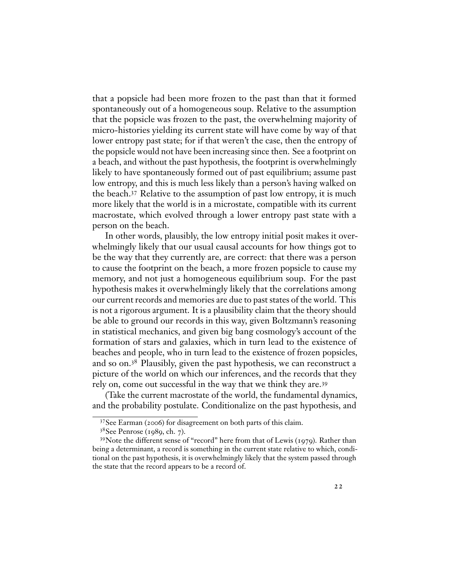that a popsicle had been more frozen to the past than that it formed spontaneously out of a homogeneous soup. Relative to the assumption that the popsicle was frozen to the past, the overwhelming majority of micro-histories yielding its current state will have come by way of that lower entropy past state; for if that weren't the case, then the entropy of the popsicle would not have been increasing since then. See a footprint on a beach, and without the past hypothesis, the footprint is overwhelmingly likely to have spontaneously formed out of past equilibrium; assume past low entropy, and this is much less likely than a person's having walked on the beach.<sup>37</sup> Relative to the assumption of past low entropy, it is much more likely that the world is in a microstate, compatible with its current macrostate, which evolved through a lower entropy past state with a person on the beach.

In other words, plausibly, the low entropy initial posit makes it overwhelmingly likely that our usual causal accounts for how things got to be the way that they currently are, are correct: that there was a person to cause the footprint on the beach, a more frozen popsicle to cause my memory, and not just a homogeneous equilibrium soup. For the past hypothesis makes it overwhelmingly likely that the correlations among our current records and memories are due to past states of the world. This is not a rigorous argument. It is a plausibility claim that the theory should be able to ground our records in this way, given Boltzmann's reasoning in statistical mechanics, and given big bang cosmology's account of the formation of stars and galaxies, which in turn lead to the existence of beaches and people, who in turn lead to the existence of frozen popsicles, and so on.<sup>38</sup> Plausibly, given the past hypothesis, we can reconstruct a picture of the world on which our inferences, and the records that they rely on, come out successful in the way that we think they are.<sup>39</sup>

(Take the current macrostate of the world, the fundamental dynamics, and the probability postulate. Conditionalize on the past hypothesis, and

<sup>38</sup>See Penrose (1989, ch. 7).

<sup>37</sup>See Earman (2006) for disagreement on both parts of this claim.

<sup>39</sup>Note the different sense of "record" here from that of Lewis (1979). Rather than being a determinant, a record is something in the current state relative to which, conditional on the past hypothesis, it is overwhelmingly likely that the system passed through the state that the record appears to be a record of.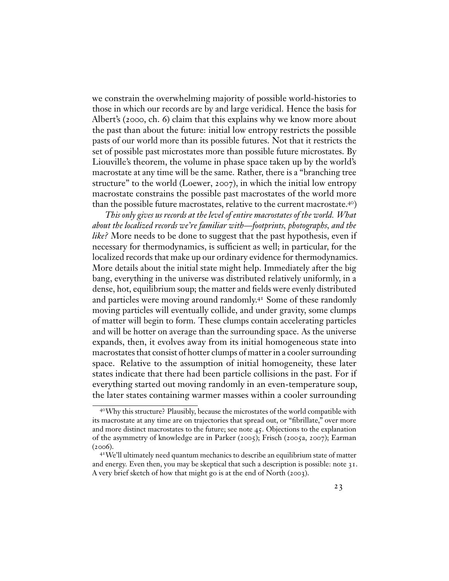we constrain the overwhelming majority of possible world-histories to those in which our records are by and large veridical. Hence the basis for Albert's (2000, ch. 6) claim that this explains why we know more about the past than about the future: initial low entropy restricts the possible pasts of our world more than its possible futures. Not that it restricts the set of possible past microstates more than possible future microstates. By Liouville's theorem, the volume in phase space taken up by the world's macrostate at any time will be the same. Rather, there is a "branching tree structure" to the world (Loewer, 2007), in which the initial low entropy macrostate constrains the possible past macrostates of the world more than the possible future macrostates, relative to the current macrostate.<sup>40</sup>)

*This only gives us records at the level of entire macrostates of the world. What about the localized records we're familiar with—footprints, photographs, and the like?* More needs to be done to suggest that the past hypothesis, even if necessary for thermodynamics, is sufficient as well; in particular, for the localized records that make up our ordinary evidence for thermodynamics. More details about the initial state might help. Immediately after the big bang, everything in the universe was distributed relatively uniformly, in a dense, hot, equilibrium soup; the matter and fields were evenly distributed and particles were moving around randomly.<sup>41</sup> Some of these randomly moving particles will eventually collide, and under gravity, some clumps of matter will begin to form. These clumps contain accelerating particles and will be hotter on average than the surrounding space. As the universe expands, then, it evolves away from its initial homogeneous state into macrostates that consist of hotter clumps of matter in a cooler surrounding space. Relative to the assumption of initial homogeneity, these later states indicate that there had been particle collisions in the past. For if everything started out moving randomly in an even-temperature soup, the later states containing warmer masses within a cooler surrounding

<sup>40</sup>Why this structure? Plausibly, because the microstates of the world compatible with its macrostate at any time are on trajectories that spread out, or "fibrillate," over more and more distinct macrostates to the future; see note 45. Objections to the explanation of the asymmetry of knowledge are in Parker (2005); Frisch (2005a, 2007); Earman  $(2006).$ 

<sup>41</sup>We'll ultimately need quantum mechanics to describe an equilibrium state of matter and energy. Even then, you may be skeptical that such a description is possible: note 31. A very brief sketch of how that might go is at the end of North (2003).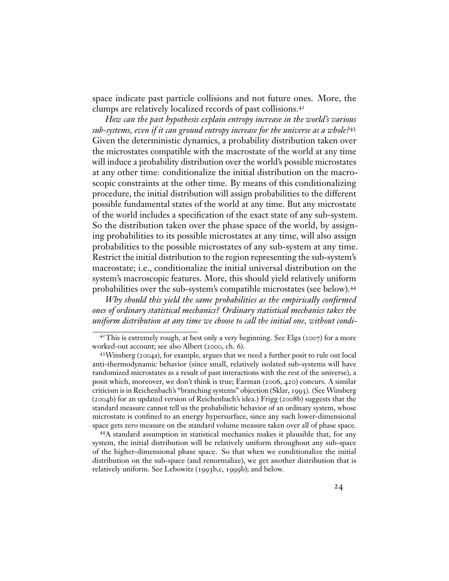space indicate past particle collisions and not future ones. More, the clumps are relatively localized records of past collisions.<sup>42</sup>

*How can the past hypothesis explain entropy increase in the world's various sub-systems, even if it can ground entropy increase for the universe as a whole?*<sup>43</sup> Given the deterministic dynamics, a probability distribution taken over the microstates compatible with the macrostate of the world at any time will induce a probability distribution over the world's possible microstates at any other time: conditionalize the initial distribution on the macroscopic constraints at the other time. By means of this conditionalizing procedure, the initial distribution will assign probabilities to the different possible fundamental states of the world at any time. But any microstate of the world includes a specication of the exact state of any sub-system. So the distribution taken over the phase space of the world, by assigning probabilities to its possible microstates at any time, will also assign probabilities to the possible microstates of any sub-system at any time. Restrict the initial distribution to the region representing the sub-system's macrostate; i.e., conditionalize the initial universal distribution on the system's macroscopic features. More, this should yield relatively uniform probabilities over the sub-system's compatible microstates (see below).<sup>44</sup>

*Why should this yield the same probabilities as the empirically conrmed ones of ordinary statistical mechanics? Ordinary statistical mechanics takes the uniform distribution at any time we choose to call the initial one, without condi-*

<sup>44</sup>A standard assumption in statistical mechanics makes it plausible that, for any system, the initial distribution will be relatively uniform throughout any sub-space of the higher-dimensional phase space. So that when we conditionalize the initial distribution on the sub-space (and renormalize), we get another distribution that is relatively uniform. See Lebowitz (1993b,c, 1999b); and below.

 $42$ This is extremely rough, at best only a very beginning. See Elga (2007) for a more worked-out account; see also Albert (2000, ch. 6).

<sup>43</sup>Winsberg (2004a), for example, argues that we need a further posit to rule out local anti-thermodynamic behavior (since small, relatively isolated sub-systems will have randomized microstates as a result of past interactions with the rest of the universe), a posit which, moreover, we don't think is true; Earman (2006, 420) concurs. A similar criticism is in Reichenbach's "branching systems" objection (Sklar, 1993). (See Winsberg (2004b) for an updated version of Reichenbach's idea.) Frigg (2008b) suggests that the standard measure cannot tell us the probabilistic behavior of an ordinary system, whose microstate is confined to an energy hypersurface, since any such lower-dimensional space gets zero measure on the standard volume measure taken over all of phase space.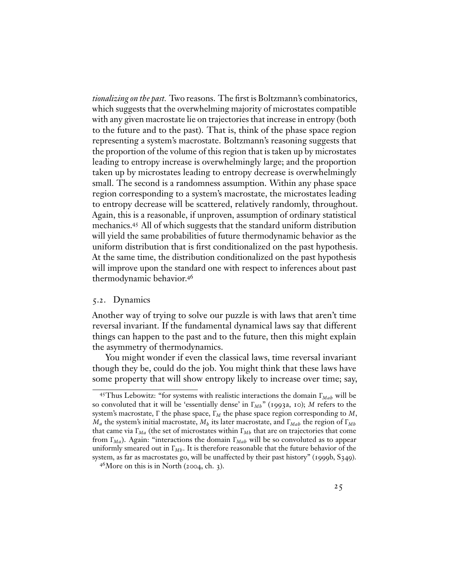*tionalizing on the past.* Two reasons. The first is Boltzmann's combinatorics, which suggests that the overwhelming majority of microstates compatible with any given macrostate lie on trajectories that increase in entropy (both to the future and to the past). That is, think of the phase space region representing a system's macrostate. Boltzmann's reasoning suggests that the proportion of the volume of this region that is taken up by microstates leading to entropy increase is overwhelmingly large; and the proportion taken up by microstates leading to entropy decrease is overwhelmingly small. The second is a randomness assumption. Within any phase space region corresponding to a system's macrostate, the microstates leading to entropy decrease will be scattered, relatively randomly, throughout. Again, this is a reasonable, if unproven, assumption of ordinary statistical mechanics.<sup>45</sup> All of which suggests that the standard uniform distribution will yield the same probabilities of future thermodynamic behavior as the uniform distribution that is first conditionalized on the past hypothesis. At the same time, the distribution conditionalized on the past hypothesis will improve upon the standard one with respect to inferences about past thermodynamic behavior.<sup>46</sup>

#### 5.2. Dynamics

Another way of trying to solve our puzzle is with laws that aren't time reversal invariant. If the fundamental dynamical laws say that different things can happen to the past and to the future, then this might explain the asymmetry of thermodynamics.

You might wonder if even the classical laws, time reversal invariant though they be, could do the job. You might think that these laws have some property that will show entropy likely to increase over time; say,

<sup>&</sup>lt;sup>45</sup>Thus Lebowitz: "for systems with realistic interactions the domain  $\Gamma_{Mab}$  will be so convoluted that it will be 'essentially dense' in  $\Gamma_{Mb}$ " (1993a, 10); M refers to the system's macrostate,  $\Gamma$  the phase space,  $\Gamma_M$  the phase space region corresponding to M,  $M_a$  the system's initial macrostate,  $M_b$  its later macrostate, and  $\Gamma_{Mab}$  the region of  $\Gamma_{Mb}$ that came via  $\Gamma_{Ma}$  (the set of microstates within  $\Gamma_{Mb}$  that are on trajectories that come from  $\Gamma_{Ma}$ ). Again: "interactions the domain  $\Gamma_{Mab}$  will be so convoluted as to appear uniformly smeared out in  $\Gamma_{Mb}$ . It is therefore reasonable that the future behavior of the system, as far as macrostates go, will be unaffected by their past history" (1999b, S349).

 $46$ More on this is in North (2004, ch. 3).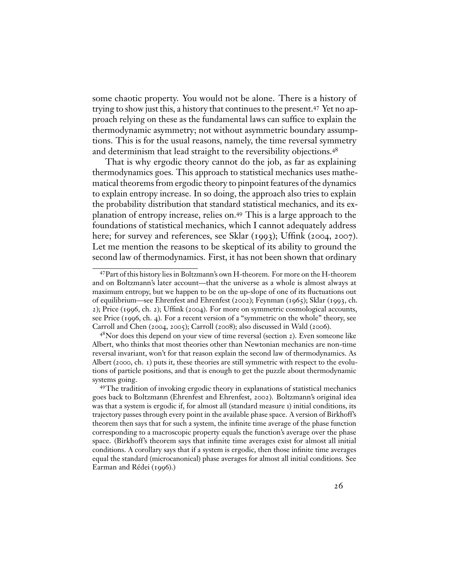some chaotic property. You would not be alone. There is a history of trying to show just this, a history that continues to the present.<sup>47</sup> Yet no approach relying on these as the fundamental laws can suffice to explain the thermodynamic asymmetry; not without asymmetric boundary assumptions. This is for the usual reasons, namely, the time reversal symmetry and determinism that lead straight to the reversibility objections.<sup>48</sup>

That is why ergodic theory cannot do the job, as far as explaining thermodynamics goes. This approach to statistical mechanics uses mathematical theorems from ergodic theory to pinpoint features of the dynamics to explain entropy increase. In so doing, the approach also tries to explain the probability distribution that standard statistical mechanics, and its explanation of entropy increase, relies on.<sup>49</sup> This is a large approach to the foundations of statistical mechanics, which I cannot adequately address here; for survey and references, see Sklar (1993); Uffink (2004, 2007). Let me mention the reasons to be skeptical of its ability to ground the second law of thermodynamics. First, it has not been shown that ordinary

<sup>47</sup>Part of this history lies in Boltzmann's own H-theorem. For more on the H-theorem and on Boltzmann's later account—that the universe as a whole is almost always at maximum entropy, but we happen to be on the up-slope of one of its fluctuations out of equilibrium—see Ehrenfest and Ehrenfest (2002); Feynman (1965); Sklar (1993, ch. 2); Price  $(1996, ch. 2)$ ; Uffink  $(2004)$ . For more on symmetric cosmological accounts, see Price (1996, ch. 4). For a recent version of a "symmetric on the whole" theory, see Carroll and Chen (2004, 2005); Carroll (2008); also discussed in Wald (2006).

 $48$ Nor does this depend on your view of time reversal (section 2). Even someone like Albert, who thinks that most theories other than Newtonian mechanics are non-time reversal invariant, won't for that reason explain the second law of thermodynamics. As Albert (2000, ch. 1) puts it, these theories are still symmetric with respect to the evolutions of particle positions, and that is enough to get the puzzle about thermodynamic systems going.

<sup>49</sup>The tradition of invoking ergodic theory in explanations of statistical mechanics goes back to Boltzmann (Ehrenfest and Ehrenfest, 2002). Boltzmann's original idea was that a system is ergodic if, for almost all (standard measure 1) initial conditions, its trajectory passes through every point in the available phase space. A version of Birkhoff's theorem then says that for such a system, the infinite time average of the phase function corresponding to a macroscopic property equals the function's average over the phase space. (Birkhoff's theorem says that infinite time averages exist for almost all initial conditions. A corollary says that if a system is ergodic, then those infinite time averages equal the standard (microcanonical) phase averages for almost all initial conditions. See Earman and Rédei (1996).)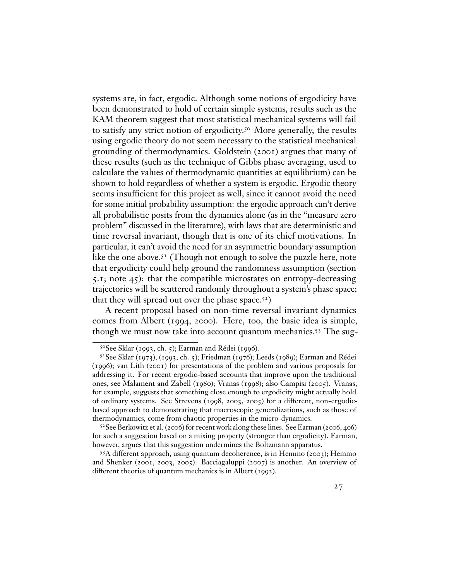systems are, in fact, ergodic. Although some notions of ergodicity have been demonstrated to hold of certain simple systems, results such as the KAM theorem suggest that most statistical mechanical systems will fail to satisfy any strict notion of ergodicity.<sup>50</sup> More generally, the results using ergodic theory do not seem necessary to the statistical mechanical grounding of thermodynamics. Goldstein (2001) argues that many of these results (such as the technique of Gibbs phase averaging, used to calculate the values of thermodynamic quantities at equilibrium) can be shown to hold regardless of whether a system is ergodic. Ergodic theory seems insufficient for this project as well, since it cannot avoid the need for some initial probability assumption: the ergodic approach can't derive all probabilistic posits from the dynamics alone (as in the "measure zero problem" discussed in the literature), with laws that are deterministic and time reversal invariant, though that is one of its chief motivations. In particular, it can't avoid the need for an asymmetric boundary assumption like the one above.<sup>51</sup> (Though not enough to solve the puzzle here, note that ergodicity could help ground the randomness assumption (section 5.1; note 45): that the compatible microstates on entropy-decreasing trajectories will be scattered randomly throughout a system's phase space; that they will spread out over the phase space.<sup>52</sup>)

A recent proposal based on non-time reversal invariant dynamics comes from Albert (1994, 2000). Here, too, the basic idea is simple, though we must now take into account quantum mechanics.<sup>53</sup> The sug-

<sup>50</sup>See Sklar (1993, ch. 5); Earman and Rédei (1996).

<sup>51</sup>See Sklar (1973), (1993, ch. 5); Friedman (1976); Leeds (1989); Earman and Rédei (1996); van Lith (2001) for presentations of the problem and various proposals for addressing it. For recent ergodic-based accounts that improve upon the traditional ones, see Malament and Zabell (1980); Vranas (1998); also Campisi (2005). Vranas, for example, suggests that something close enough to ergodicity might actually hold of ordinary systems. See Strevens (1998, 2003, 2005) for a different, non-ergodicbased approach to demonstrating that macroscopic generalizations, such as those of thermodynamics, come from chaotic properties in the micro-dynamics.

<sup>52</sup>See Berkowitz et al. (2006) for recent work along these lines. See Earman (2006, 406) for such a suggestion based on a mixing property (stronger than ergodicity). Earman, however, argues that this suggestion undermines the Boltzmann apparatus.

<sup>53</sup>A different approach, using quantum decoherence, is in Hemmo (2003); Hemmo and Shenker (2001, 2003, 2005). Bacciagaluppi (2007) is another. An overview of different theories of quantum mechanics is in Albert (1992).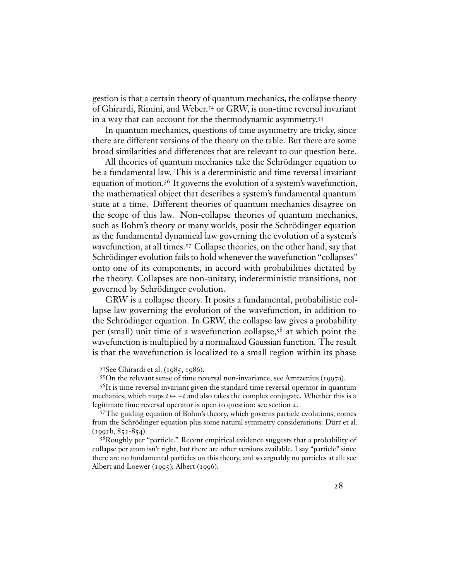gestion is that a certain theory of quantum mechanics, the collapse theory of Ghirardi, Rimini, and Weber,<sup>54</sup> or GRW, is non-time reversal invariant in a way that can account for the thermodynamic asymmetry.<sup>55</sup>

In quantum mechanics, questions of time asymmetry are tricky, since there are different versions of the theory on the table. But there are some broad similarities and differences that are relevant to our question here.

All theories of quantum mechanics take the Schrödinger equation to be a fundamental law. This is a deterministic and time reversal invariant equation of motion.<sup>56</sup> It governs the evolution of a system's wavefunction, the mathematical object that describes a system's fundamental quantum state at a time. Different theories of quantum mechanics disagree on the scope of this law. Non-collapse theories of quantum mechanics, such as Bohm's theory or many worlds, posit the Schrödinger equation as the fundamental dynamical law governing the evolution of a system's wavefunction, at all times.<sup>57</sup> Collapse theories, on the other hand, say that Schrödinger evolution fails to hold whenever the wavefunction "collapses" onto one of its components, in accord with probabilities dictated by the theory. Collapses are non-unitary, indeterministic transitions, not governed by Schrödinger evolution.

GRW is a collapse theory. It posits a fundamental, probabilistic collapse law governing the evolution of the wavefunction, in addition to the Schrödinger equation. In GRW, the collapse law gives a probability per (small) unit time of a wavefunction collapse,<sup>58</sup> at which point the wavefunction is multiplied by a normalized Gaussian function. The result is that the wavefunction is localized to a small region within its phase

<sup>54</sup>See Ghirardi et al. (1985, 1986).

<sup>55</sup>On the relevant sense of time reversal non-invariance, see Arntzenius (1997a).

 $5<sup>6</sup>$ It is time reversal invariant given the standard time reversal operator in quantum mechanics, which maps  $t \mapsto -t$  and also takes the complex conjugate. Whether this is a legitimate time reversal operator is open to question: see section 2.

<sup>57</sup>The guiding equation of Bohm's theory, which governs particle evolutions, comes from the Schrödinger equation plus some natural symmetry considerations: Dürr et al.  $(1992b, 852-854).$ 

 $58$ Roughly per "particle." Recent empirical evidence suggests that a probability of collapse per atom isn't right, but there are other versions available. I say "particle" since there are no fundamental particles on this theory, and so arguably no particles at all: see Albert and Loewer (1995); Albert (1996).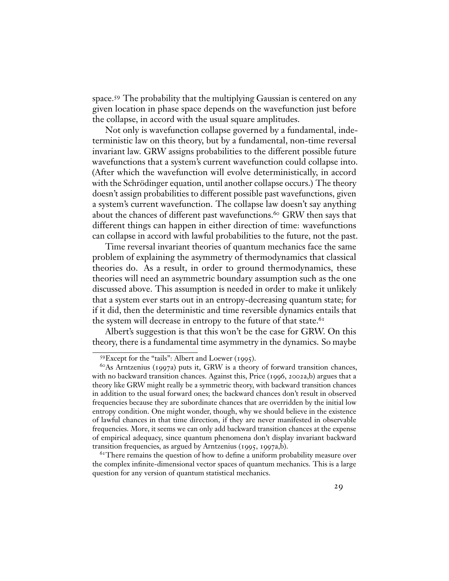space.<sup>59</sup> The probability that the multiplying Gaussian is centered on any given location in phase space depends on the wavefunction just before the collapse, in accord with the usual square amplitudes.

Not only is wavefunction collapse governed by a fundamental, indeterministic law on this theory, but by a fundamental, non-time reversal invariant law. GRW assigns probabilities to the different possible future wavefunctions that a system's current wavefunction could collapse into. (After which the wavefunction will evolve deterministically, in accord with the Schrödinger equation, until another collapse occurs.) The theory doesn't assign probabilities to different possible past wavefunctions, given a system's current wavefunction. The collapse law doesn't say anything about the chances of different past wavefunctions.<sup>60</sup> GRW then says that different things can happen in either direction of time: wavefunctions can collapse in accord with lawful probabilities to the future, not the past.

Time reversal invariant theories of quantum mechanics face the same problem of explaining the asymmetry of thermodynamics that classical theories do. As a result, in order to ground thermodynamics, these theories will need an asymmetric boundary assumption such as the one discussed above. This assumption is needed in order to make it unlikely that a system ever starts out in an entropy-decreasing quantum state; for if it did, then the deterministic and time reversible dynamics entails that the system will decrease in entropy to the future of that state. $61$ 

Albert's suggestion is that this won't be the case for GRW. On this theory, there is a fundamental time asymmetry in the dynamics. So maybe

<sup>59</sup>Except for the "tails": Albert and Loewer (1995).

 $60$ As Arntzenius (1997a) puts it, GRW is a theory of forward transition chances, with no backward transition chances. Against this, Price (1996, 2002a,b) argues that a theory like GRW might really be a symmetric theory, with backward transition chances in addition to the usual forward ones; the backward chances don't result in observed frequencies because they are subordinate chances that are overridden by the initial low entropy condition. One might wonder, though, why we should believe in the existence of lawful chances in that time direction, if they are never manifested in observable frequencies. More, it seems we can only add backward transition chances at the expense of empirical adequacy, since quantum phenomena don't display invariant backward transition frequencies, as argued by Arntzenius (1995, 1997a,b).

 $61$ <sup>61</sup>There remains the question of how to define a uniform probability measure over the complex infinite-dimensional vector spaces of quantum mechanics. This is a large question for any version of quantum statistical mechanics.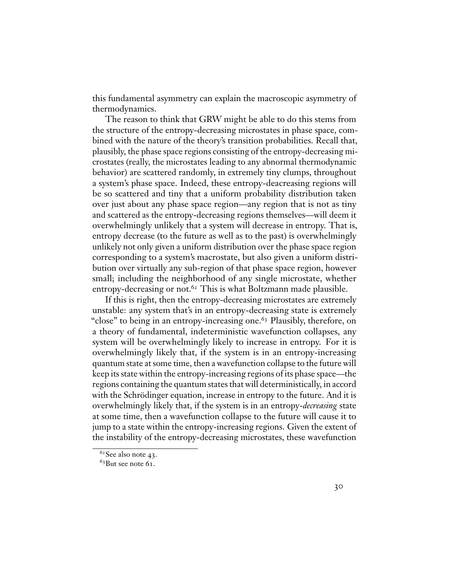this fundamental asymmetry can explain the macroscopic asymmetry of thermodynamics.

The reason to think that GRW might be able to do this stems from the structure of the entropy-decreasing microstates in phase space, combined with the nature of the theory's transition probabilities. Recall that, plausibly, the phase space regions consisting of the entropy-decreasing microstates (really, the microstates leading to any abnormal thermodynamic behavior) are scattered randomly, in extremely tiny clumps, throughout a system's phase space. Indeed, these entropy-deacreasing regions will be so scattered and tiny that a uniform probability distribution taken over just about any phase space region—any region that is not as tiny and scattered as the entropy-decreasing regions themselves—will deem it overwhelmingly unlikely that a system will decrease in entropy. That is, entropy decrease (to the future as well as to the past) is overwhelmingly unlikely not only given a uniform distribution over the phase space region corresponding to a system's macrostate, but also given a uniform distribution over virtually any sub-region of that phase space region, however small; including the neighborhood of any single microstate, whether entropy-decreasing or not.<sup>62</sup> This is what Boltzmann made plausible.

If this is right, then the entropy-decreasing microstates are extremely unstable: any system that's in an entropy-decreasing state is extremely "close" to being in an entropy-increasing one.<sup>63</sup> Plausibly, therefore, on a theory of fundamental, indeterministic wavefunction collapses, any system will be overwhelmingly likely to increase in entropy. For it is overwhelmingly likely that, if the system is in an entropy-increasing quantum state at some time, then a wavefunction collapse to the future will keep its state within the entropy-increasing regions of its phase space—the regions containing the quantum states that will deterministically, in accord with the Schrödinger equation, increase in entropy to the future. And it is overwhelmingly likely that, if the system is in an entropy-*decreasing* state at some time, then a wavefunction collapse to the future will cause it to jump to a state within the entropy-increasing regions. Given the extent of the instability of the entropy-decreasing microstates, these wavefunction

 $62$ See also note 43.

 $63$ But see note 61.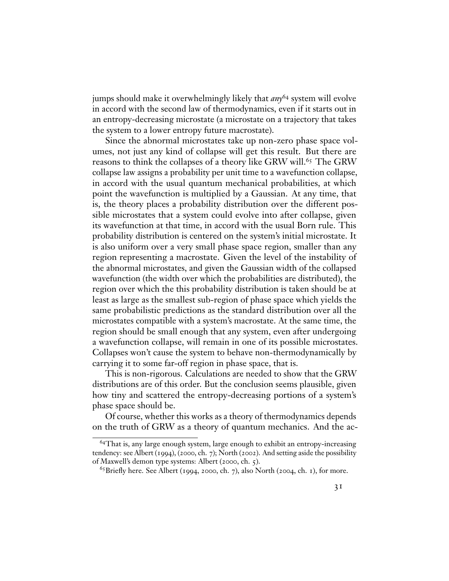jumps should make it overwhelmingly likely that *any*<sup>64</sup> system will evolve in accord with the second law of thermodynamics, even if it starts out in an entropy-decreasing microstate (a microstate on a trajectory that takes the system to a lower entropy future macrostate).

Since the abnormal microstates take up non-zero phase space volumes, not just any kind of collapse will get this result. But there are reasons to think the collapses of a theory like GRW will.<sup>65</sup> The GRW collapse law assigns a probability per unit time to a wavefunction collapse, in accord with the usual quantum mechanical probabilities, at which point the wavefunction is multiplied by a Gaussian. At any time, that is, the theory places a probability distribution over the different possible microstates that a system could evolve into after collapse, given its wavefunction at that time, in accord with the usual Born rule. This probability distribution is centered on the system's initial microstate. It is also uniform over a very small phase space region, smaller than any region representing a macrostate. Given the level of the instability of the abnormal microstates, and given the Gaussian width of the collapsed wavefunction (the width over which the probabilities are distributed), the region over which the this probability distribution is taken should be at least as large as the smallest sub-region of phase space which yields the same probabilistic predictions as the standard distribution over all the microstates compatible with a system's macrostate. At the same time, the region should be small enough that any system, even after undergoing a wavefunction collapse, will remain in one of its possible microstates. Collapses won't cause the system to behave non-thermodynamically by carrying it to some far-off region in phase space, that is.

This is non-rigorous. Calculations are needed to show that the GRW distributions are of this order. But the conclusion seems plausible, given how tiny and scattered the entropy-decreasing portions of a system's phase space should be.

Of course, whether this works as a theory of thermodynamics depends on the truth of GRW as a theory of quantum mechanics. And the ac-

<sup>&</sup>lt;sup>64</sup>That is, any large enough system, large enough to exhibit an entropy-increasing tendency: see Albert (1994), (2000, ch. 7); North (2002). And setting aside the possibility of Maxwell's demon type systems: Albert (2000, ch. 5).

<sup>&</sup>lt;sup>65</sup>Briefly here. See Albert (1994, 2000, ch. 7), also North (2004, ch. 1), for more.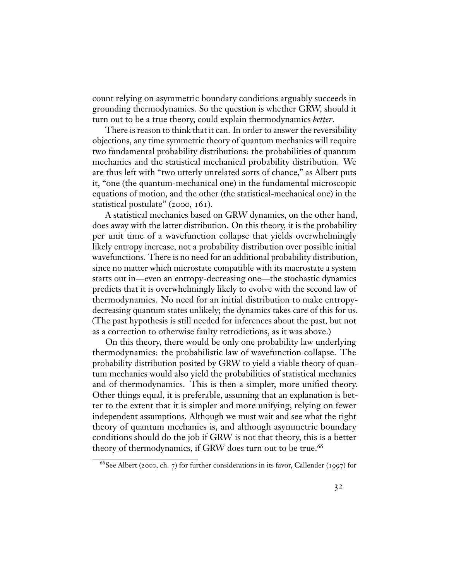count relying on asymmetric boundary conditions arguably succeeds in grounding thermodynamics. So the question is whether GRW, should it turn out to be a true theory, could explain thermodynamics *better*.

There is reason to think that it can. In order to answer the reversibility objections, any time symmetric theory of quantum mechanics will require two fundamental probability distributions: the probabilities of quantum mechanics and the statistical mechanical probability distribution. We are thus left with "two utterly unrelated sorts of chance," as Albert puts it, "one (the quantum-mechanical one) in the fundamental microscopic equations of motion, and the other (the statistical-mechanical one) in the statistical postulate" (2000, 161).

A statistical mechanics based on GRW dynamics, on the other hand, does away with the latter distribution. On this theory, it is the probability per unit time of a wavefunction collapse that yields overwhelmingly likely entropy increase, not a probability distribution over possible initial wavefunctions. There is no need for an additional probability distribution, since no matter which microstate compatible with its macrostate a system starts out in—even an entropy-decreasing one—the stochastic dynamics predicts that it is overwhelmingly likely to evolve with the second law of thermodynamics. No need for an initial distribution to make entropydecreasing quantum states unlikely; the dynamics takes care of this for us. (The past hypothesis is still needed for inferences about the past, but not as a correction to otherwise faulty retrodictions, as it was above.)

On this theory, there would be only one probability law underlying thermodynamics: the probabilistic law of wavefunction collapse. The probability distribution posited by GRW to yield a viable theory of quantum mechanics would also yield the probabilities of statistical mechanics and of thermodynamics. This is then a simpler, more unified theory. Other things equal, it is preferable, assuming that an explanation is better to the extent that it is simpler and more unifying, relying on fewer independent assumptions. Although we must wait and see what the right theory of quantum mechanics is, and although asymmetric boundary conditions should do the job if GRW is not that theory, this is a better theory of thermodynamics, if GRW does turn out to be true.<sup>66</sup>

<sup>&</sup>lt;sup>66</sup>See Albert (2000, ch. 7) for further considerations in its favor, Callender (1997) for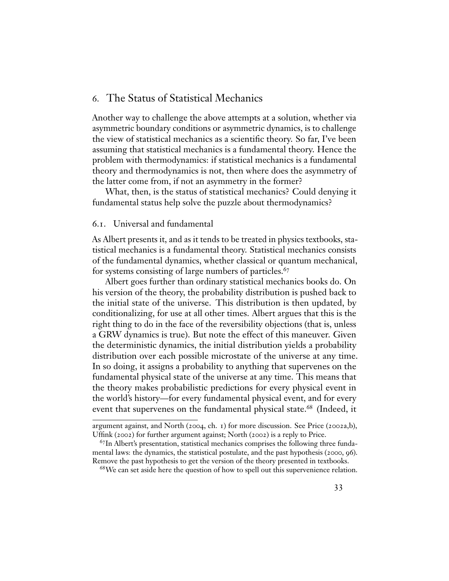## 6. The Status of Statistical Mechanics

Another way to challenge the above attempts at a solution, whether via asymmetric boundary conditions or asymmetric dynamics, is to challenge the view of statistical mechanics as a scientic theory. So far, I've been assuming that statistical mechanics is a fundamental theory. Hence the problem with thermodynamics: if statistical mechanics is a fundamental theory and thermodynamics is not, then where does the asymmetry of the latter come from, if not an asymmetry in the former?

What, then, is the status of statistical mechanics? Could denying it fundamental status help solve the puzzle about thermodynamics?

#### 6.1. Universal and fundamental

As Albert presents it, and as it tends to be treated in physics textbooks, statistical mechanics is a fundamental theory. Statistical mechanics consists of the fundamental dynamics, whether classical or quantum mechanical, for systems consisting of large numbers of particles.<sup>67</sup>

Albert goes further than ordinary statistical mechanics books do. On his version of the theory, the probability distribution is pushed back to the initial state of the universe. This distribution is then updated, by conditionalizing, for use at all other times. Albert argues that this is the right thing to do in the face of the reversibility objections (that is, unless a GRW dynamics is true). But note the effect of this maneuver. Given the deterministic dynamics, the initial distribution yields a probability distribution over each possible microstate of the universe at any time. In so doing, it assigns a probability to anything that supervenes on the fundamental physical state of the universe at any time. This means that the theory makes probabilistic predictions for every physical event in the world's history—for every fundamental physical event, and for every event that supervenes on the fundamental physical state.<sup>68</sup> (Indeed, it

argument against, and North (2004, ch. 1) for more discussion. See Price (2002a,b), Ufnk (2002) for further argument against; North (2002) is a reply to Price.

 $67$ In Albert's presentation, statistical mechanics comprises the following three fundamental laws: the dynamics, the statistical postulate, and the past hypothesis (2000, 96). Remove the past hypothesis to get the version of the theory presented in textbooks.

<sup>68</sup>We can set aside here the question of how to spell out this supervenience relation.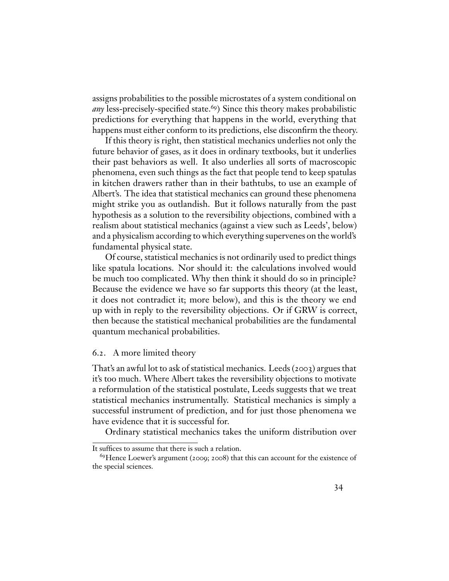assigns probabilities to the possible microstates of a system conditional on *any* less-precisely-specified state.<sup>69</sup>) Since this theory makes probabilistic predictions for everything that happens in the world, everything that happens must either conform to its predictions, else disconfirm the theory.

If this theory is right, then statistical mechanics underlies not only the future behavior of gases, as it does in ordinary textbooks, but it underlies their past behaviors as well. It also underlies all sorts of macroscopic phenomena, even such things as the fact that people tend to keep spatulas in kitchen drawers rather than in their bathtubs, to use an example of Albert's. The idea that statistical mechanics can ground these phenomena might strike you as outlandish. But it follows naturally from the past hypothesis as a solution to the reversibility objections, combined with a realism about statistical mechanics (against a view such as Leeds', below) and a physicalism according to which everything supervenes on the world's fundamental physical state.

Of course, statistical mechanics is not ordinarily used to predict things like spatula locations. Nor should it: the calculations involved would be much too complicated. Why then think it should do so in principle? Because the evidence we have so far supports this theory (at the least, it does not contradict it; more below), and this is the theory we end up with in reply to the reversibility objections. Or if GRW is correct, then because the statistical mechanical probabilities are the fundamental quantum mechanical probabilities.

#### 6.2. A more limited theory

That's an awful lot to ask of statistical mechanics. Leeds (2003) argues that it's too much. Where Albert takes the reversibility objections to motivate a reformulation of the statistical postulate, Leeds suggests that we treat statistical mechanics instrumentally. Statistical mechanics is simply a successful instrument of prediction, and for just those phenomena we have evidence that it is successful for.

Ordinary statistical mechanics takes the uniform distribution over

It suffices to assume that there is such a relation.

<sup>69</sup>Hence Loewer's argument (2009; 2008) that this can account for the existence of the special sciences.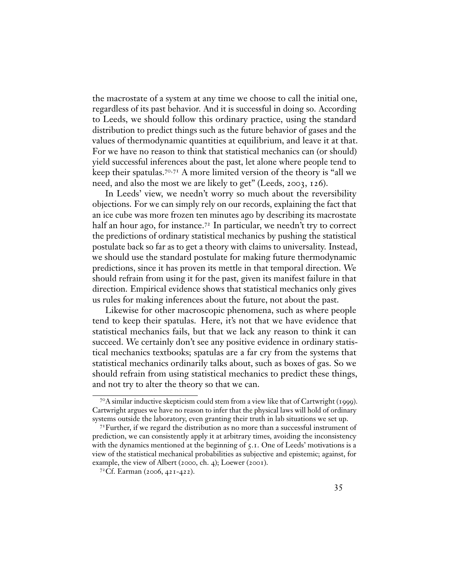the macrostate of a system at any time we choose to call the initial one, regardless of its past behavior. And it is successful in doing so. According to Leeds, we should follow this ordinary practice, using the standard distribution to predict things such as the future behavior of gases and the values of thermodynamic quantities at equilibrium, and leave it at that. For we have no reason to think that statistical mechanics can (or should) yield successful inferences about the past, let alone where people tend to keep their spatulas.<sup>70</sup>,<sup>71</sup> A more limited version of the theory is "all we need, and also the most we are likely to get" (Leeds, 2003, 126).

In Leeds' view, we needn't worry so much about the reversibility objections. For we can simply rely on our records, explaining the fact that an ice cube was more frozen ten minutes ago by describing its macrostate half an hour ago, for instance.<sup>72</sup> In particular, we needn't try to correct the predictions of ordinary statistical mechanics by pushing the statistical postulate back so far as to get a theory with claims to universality. Instead, we should use the standard postulate for making future thermodynamic predictions, since it has proven its mettle in that temporal direction. We should refrain from using it for the past, given its manifest failure in that direction. Empirical evidence shows that statistical mechanics only gives us rules for making inferences about the future, not about the past.

Likewise for other macroscopic phenomena, such as where people tend to keep their spatulas. Here, it's not that we have evidence that statistical mechanics fails, but that we lack any reason to think it can succeed. We certainly don't see any positive evidence in ordinary statistical mechanics textbooks; spatulas are a far cry from the systems that statistical mechanics ordinarily talks about, such as boxes of gas. So we should refrain from using statistical mechanics to predict these things, and not try to alter the theory so that we can.

<sup>70</sup>A similar inductive skepticism could stem from a view like that of Cartwright (1999). Cartwright argues we have no reason to infer that the physical laws will hold of ordinary systems outside the laboratory, even granting their truth in lab situations we set up.

<sup>71</sup>Further, if we regard the distribution as no more than a successful instrument of prediction, we can consistently apply it at arbitrary times, avoiding the inconsistency with the dynamics mentioned at the beginning of 5.1. One of Leeds' motivations is a view of the statistical mechanical probabilities as subjective and epistemic; against, for example, the view of Albert (2000, ch. 4); Loewer (2001).

<sup>72</sup>Cf. Earman (2006, 421-422).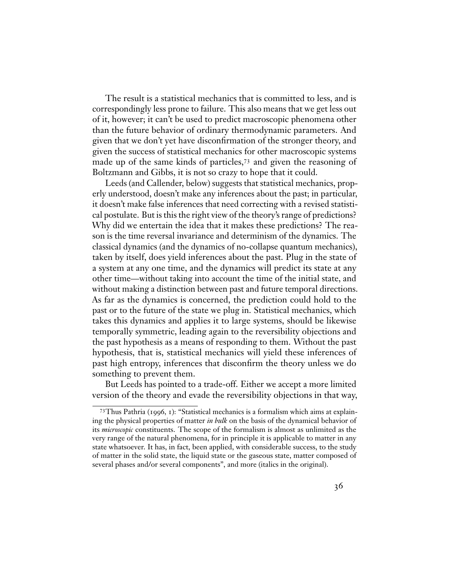The result is a statistical mechanics that is committed to less, and is correspondingly less prone to failure. This also means that we get less out of it, however; it can't be used to predict macroscopic phenomena other than the future behavior of ordinary thermodynamic parameters. And given that we don't yet have disconrmation of the stronger theory, and given the success of statistical mechanics for other macroscopic systems made up of the same kinds of particles,<sup>73</sup> and given the reasoning of Boltzmann and Gibbs, it is not so crazy to hope that it could.

Leeds (and Callender, below) suggests that statistical mechanics, properly understood, doesn't make any inferences about the past; in particular, it doesn't make false inferences that need correcting with a revised statistical postulate. But is this the right view of the theory's range of predictions? Why did we entertain the idea that it makes these predictions? The reason is the time reversal invariance and determinism of the dynamics. The classical dynamics (and the dynamics of no-collapse quantum mechanics), taken by itself, does yield inferences about the past. Plug in the state of a system at any one time, and the dynamics will predict its state at any other time—without taking into account the time of the initial state, and without making a distinction between past and future temporal directions. As far as the dynamics is concerned, the prediction could hold to the past or to the future of the state we plug in. Statistical mechanics, which takes this dynamics and applies it to large systems, should be likewise temporally symmetric, leading again to the reversibility objections and the past hypothesis as a means of responding to them. Without the past hypothesis, that is, statistical mechanics will yield these inferences of past high entropy, inferences that disconfirm the theory unless we do something to prevent them.

But Leeds has pointed to a trade-off. Either we accept a more limited version of the theory and evade the reversibility objections in that way,

<sup>73</sup>Thus Pathria (1996, 1): "Statistical mechanics is a formalism which aims at explaining the physical properties of matter *in bulk* on the basis of the dynamical behavior of its *microscopic* constituents. The scope of the formalism is almost as unlimited as the very range of the natural phenomena, for in principle it is applicable to matter in any state whatsoever. It has, in fact, been applied, with considerable success, to the study of matter in the solid state, the liquid state or the gaseous state, matter composed of several phases and/or several components", and more (italics in the original).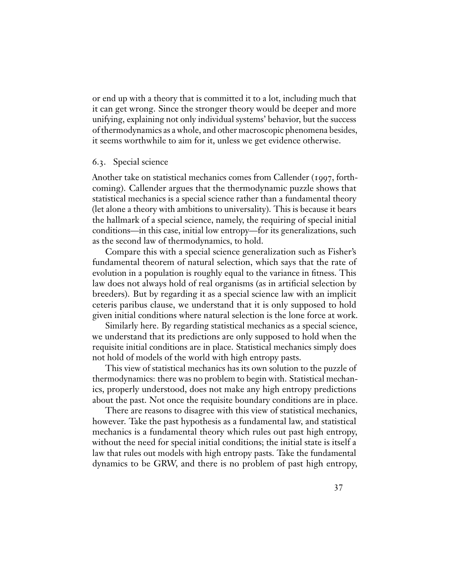or end up with a theory that is committed it to a lot, including much that it can get wrong. Since the stronger theory would be deeper and more unifying, explaining not only individual systems' behavior, but the success of thermodynamics as a whole, and other macroscopic phenomena besides, it seems worthwhile to aim for it, unless we get evidence otherwise.

#### 6.3. Special science

Another take on statistical mechanics comes from Callender (1997, forthcoming). Callender argues that the thermodynamic puzzle shows that statistical mechanics is a special science rather than a fundamental theory (let alone a theory with ambitions to universality). This is because it bears the hallmark of a special science, namely, the requiring of special initial conditions—in this case, initial low entropy—for its generalizations, such as the second law of thermodynamics, to hold.

Compare this with a special science generalization such as Fisher's fundamental theorem of natural selection, which says that the rate of evolution in a population is roughly equal to the variance in fitness. This law does not always hold of real organisms (as in articial selection by breeders). But by regarding it as a special science law with an implicit ceteris paribus clause, we understand that it is only supposed to hold given initial conditions where natural selection is the lone force at work.

Similarly here. By regarding statistical mechanics as a special science, we understand that its predictions are only supposed to hold when the requisite initial conditions are in place. Statistical mechanics simply does not hold of models of the world with high entropy pasts.

This view of statistical mechanics has its own solution to the puzzle of thermodynamics: there was no problem to begin with. Statistical mechanics, properly understood, does not make any high entropy predictions about the past. Not once the requisite boundary conditions are in place.

There are reasons to disagree with this view of statistical mechanics, however. Take the past hypothesis as a fundamental law, and statistical mechanics is a fundamental theory which rules out past high entropy, without the need for special initial conditions; the initial state is itself a law that rules out models with high entropy pasts. Take the fundamental dynamics to be GRW, and there is no problem of past high entropy,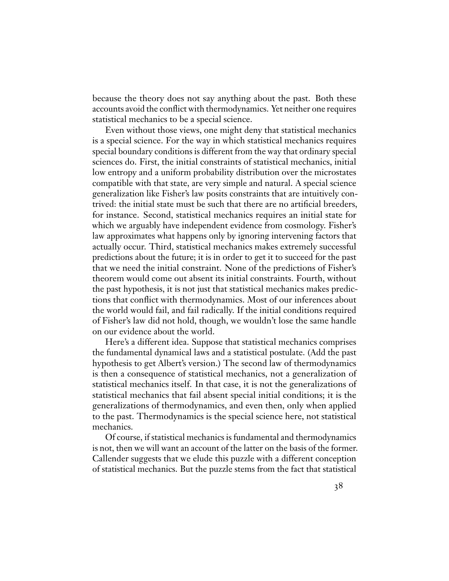because the theory does not say anything about the past. Both these accounts avoid the conflict with thermodynamics. Yet neither one requires statistical mechanics to be a special science.

Even without those views, one might deny that statistical mechanics is a special science. For the way in which statistical mechanics requires special boundary conditions is different from the way that ordinary special sciences do. First, the initial constraints of statistical mechanics, initial low entropy and a uniform probability distribution over the microstates compatible with that state, are very simple and natural. A special science generalization like Fisher's law posits constraints that are intuitively contrived: the initial state must be such that there are no articial breeders, for instance. Second, statistical mechanics requires an initial state for which we arguably have independent evidence from cosmology. Fisher's law approximates what happens only by ignoring intervening factors that actually occur. Third, statistical mechanics makes extremely successful predictions about the future; it is in order to get it to succeed for the past that we need the initial constraint. None of the predictions of Fisher's theorem would come out absent its initial constraints. Fourth, without the past hypothesis, it is not just that statistical mechanics makes predictions that conflict with thermodynamics. Most of our inferences about the world would fail, and fail radically. If the initial conditions required of Fisher's law did not hold, though, we wouldn't lose the same handle on our evidence about the world.

Here's a different idea. Suppose that statistical mechanics comprises the fundamental dynamical laws and a statistical postulate. (Add the past hypothesis to get Albert's version.) The second law of thermodynamics is then a consequence of statistical mechanics, not a generalization of statistical mechanics itself. In that case, it is not the generalizations of statistical mechanics that fail absent special initial conditions; it is the generalizations of thermodynamics, and even then, only when applied to the past. Thermodynamics is the special science here, not statistical mechanics.

Of course, if statistical mechanics is fundamental and thermodynamics is not, then we will want an account of the latter on the basis of the former. Callender suggests that we elude this puzzle with a different conception of statistical mechanics. But the puzzle stems from the fact that statistical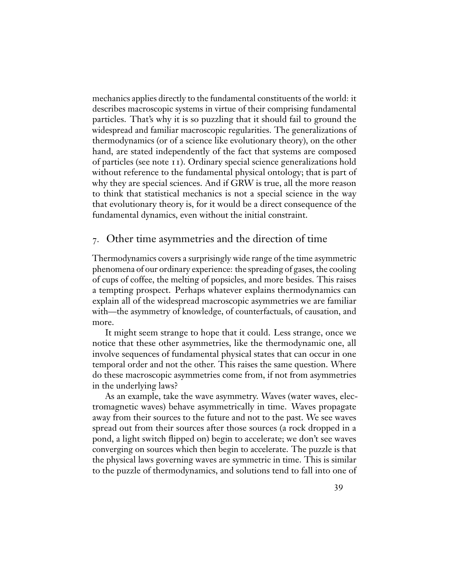mechanics applies directly to the fundamental constituents of the world: it describes macroscopic systems in virtue of their comprising fundamental particles. That's why it is so puzzling that it should fail to ground the widespread and familiar macroscopic regularities. The generalizations of thermodynamics (or of a science like evolutionary theory), on the other hand, are stated independently of the fact that systems are composed of particles (see note 11). Ordinary special science generalizations hold without reference to the fundamental physical ontology; that is part of why they are special sciences. And if GRW is true, all the more reason to think that statistical mechanics is not a special science in the way that evolutionary theory is, for it would be a direct consequence of the fundamental dynamics, even without the initial constraint.

## 7. Other time asymmetries and the direction of time

Thermodynamics covers a surprisingly wide range of the time asymmetric phenomena of our ordinary experience: the spreading of gases, the cooling of cups of coffee, the melting of popsicles, and more besides. This raises a tempting prospect. Perhaps whatever explains thermodynamics can explain all of the widespread macroscopic asymmetries we are familiar with—the asymmetry of knowledge, of counterfactuals, of causation, and more.

It might seem strange to hope that it could. Less strange, once we notice that these other asymmetries, like the thermodynamic one, all involve sequences of fundamental physical states that can occur in one temporal order and not the other. This raises the same question. Where do these macroscopic asymmetries come from, if not from asymmetries in the underlying laws?

As an example, take the wave asymmetry. Waves (water waves, electromagnetic waves) behave asymmetrically in time. Waves propagate away from their sources to the future and not to the past. We see waves spread out from their sources after those sources (a rock dropped in a pond, a light switch flipped on) begin to accelerate; we don't see waves converging on sources which then begin to accelerate. The puzzle is that the physical laws governing waves are symmetric in time. This is similar to the puzzle of thermodynamics, and solutions tend to fall into one of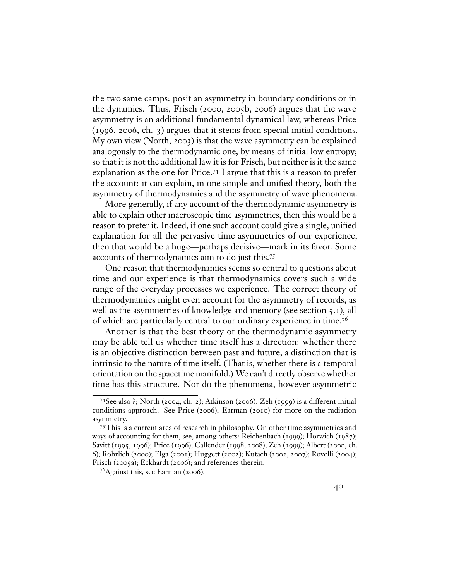the two same camps: posit an asymmetry in boundary conditions or in the dynamics. Thus, Frisch (2000, 2005b, 2006) argues that the wave asymmetry is an additional fundamental dynamical law, whereas Price (1996, 2006, ch. 3) argues that it stems from special initial conditions. My own view (North, 2003) is that the wave asymmetry can be explained analogously to the thermodynamic one, by means of initial low entropy; so that it is not the additional law it is for Frisch, but neither is it the same explanation as the one for Price.<sup>74</sup> I argue that this is a reason to prefer the account: it can explain, in one simple and unied theory, both the asymmetry of thermodynamics and the asymmetry of wave phenomena.

More generally, if any account of the thermodynamic asymmetry is able to explain other macroscopic time asymmetries, then this would be a reason to prefer it. Indeed, if one such account could give a single, unified explanation for all the pervasive time asymmetries of our experience, then that would be a huge—perhaps decisive—mark in its favor. Some accounts of thermodynamics aim to do just this.<sup>75</sup>

One reason that thermodynamics seems so central to questions about time and our experience is that thermodynamics covers such a wide range of the everyday processes we experience. The correct theory of thermodynamics might even account for the asymmetry of records, as well as the asymmetries of knowledge and memory (see section 5.1), all of which are particularly central to our ordinary experience in time.<sup>76</sup>

Another is that the best theory of the thermodynamic asymmetry may be able tell us whether time itself has a direction: whether there is an objective distinction between past and future, a distinction that is intrinsic to the nature of time itself. (That is, whether there is a temporal orientation on the spacetime manifold.) We can't directly observe whether time has this structure. Nor do the phenomena, however asymmetric

<sup>74</sup>See also **?**; North (2004, ch. 2); Atkinson (2006). Zeh (1999) is a different initial conditions approach. See Price (2006); Earman (2010) for more on the radiation asymmetry.

<sup>75</sup>This is a current area of research in philosophy. On other time asymmetries and ways of accounting for them, see, among others: Reichenbach (1999); Horwich (1987); Savitt (1995, 1996); Price (1996); Callender (1998, 2008); Zeh (1999); Albert (2000, ch. 6); Rohrlich (2000); Elga (2001); Huggett (2002); Kutach (2002, 2007); Rovelli (2004); Frisch (2005a); Eckhardt (2006); and references therein.

<sup>76</sup>Against this, see Earman (2006).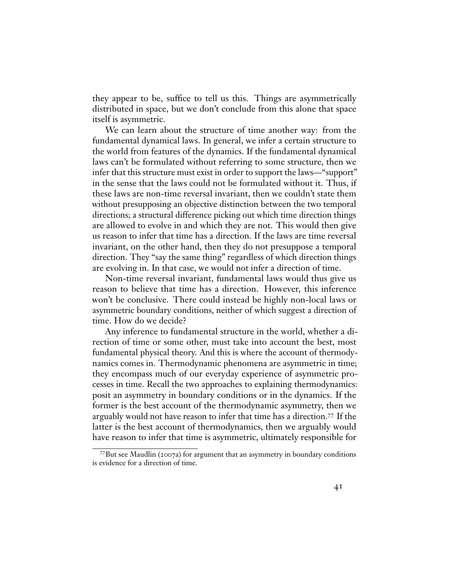they appear to be, suffice to tell us this. Things are asymmetrically distributed in space, but we don't conclude from this alone that space itself is asymmetric.

We can learn about the structure of time another way: from the fundamental dynamical laws. In general, we infer a certain structure to the world from features of the dynamics. If the fundamental dynamical laws can't be formulated without referring to some structure, then we infer that this structure must exist in order to support the laws—"support" in the sense that the laws could not be formulated without it. Thus, if these laws are non-time reversal invariant, then we couldn't state them without presupposing an objective distinction between the two temporal directions; a structural difference picking out which time direction things are allowed to evolve in and which they are not. This would then give us reason to infer that time has a direction. If the laws are time reversal invariant, on the other hand, then they do not presuppose a temporal direction. They "say the same thing" regardless of which direction things are evolving in. In that case, we would not infer a direction of time.

Non-time reversal invariant, fundamental laws would thus give us reason to believe that time has a direction. However, this inference won't be conclusive. There could instead be highly non-local laws or asymmetric boundary conditions, neither of which suggest a direction of time. How do we decide?

Any inference to fundamental structure in the world, whether a direction of time or some other, must take into account the best, most fundamental physical theory. And this is where the account of thermodynamics comes in. Thermodynamic phenomena are asymmetric in time; they encompass much of our everyday experience of asymmetric processes in time. Recall the two approaches to explaining thermodynamics: posit an asymmetry in boundary conditions or in the dynamics. If the former is the best account of the thermodynamic asymmetry, then we arguably would not have reason to infer that time has a direction.<sup>77</sup> If the latter is the best account of thermodynamics, then we arguably would have reason to infer that time is asymmetric, ultimately responsible for

<sup>77</sup>But see Maudlin (2007a) for argument that an asymmetry in boundary conditions is evidence for a direction of time.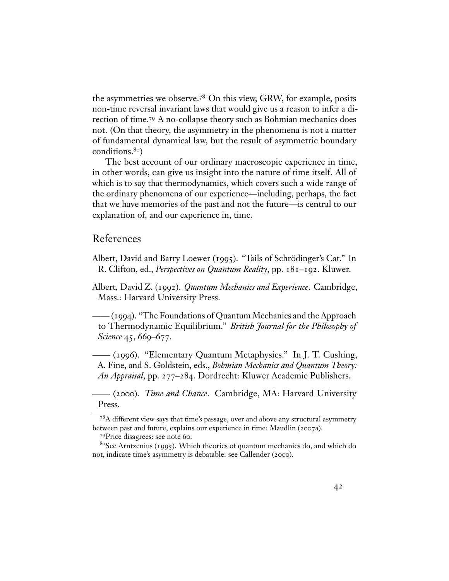the asymmetries we observe.<sup>78</sup> On this view, GRW, for example, posits non-time reversal invariant laws that would give us a reason to infer a direction of time.<sup>79</sup> A no-collapse theory such as Bohmian mechanics does not. (On that theory, the asymmetry in the phenomena is not a matter of fundamental dynamical law, but the result of asymmetric boundary conditions.<sup>80</sup>)

The best account of our ordinary macroscopic experience in time, in other words, can give us insight into the nature of time itself. All of which is to say that thermodynamics, which covers such a wide range of the ordinary phenomena of our experience—including, perhaps, the fact that we have memories of the past and not the future—is central to our explanation of, and our experience in, time.

## References

Albert, David and Barry Loewer (1995). "Tails of Schrödinger's Cat." In R. Clifton, ed., *Perspectives on Quantum Reality*, pp. 181–192. Kluwer.

Albert, David Z. (1992). *Quantum Mechanics and Experience*. Cambridge, Mass.: Harvard University Press.

—— (1994). "The Foundations of Quantum Mechanics and the Approach to Thermodynamic Equilibrium." *British Journal for the Philosophy of Science* 45, 669–677.

—— (1996). "Elementary Quantum Metaphysics." In J. T. Cushing, A. Fine, and S. Goldstein, eds., *Bohmian Mechanics and Quantum Theory: An Appraisal*, pp. 277–284. Dordrecht: Kluwer Academic Publishers.

—— (2000). *Time and Chance*. Cambridge, MA: Harvard University Press.

<sup>78</sup>A different view says that time's passage, over and above any structural asymmetry between past and future, explains our experience in time: Maudlin (2007a).

<sup>79</sup>Price disagrees: see note 60.

<sup>&</sup>lt;sup>80</sup>See Arntzenius (1995). Which theories of quantum mechanics do, and which do not, indicate time's asymmetry is debatable: see Callender (2000).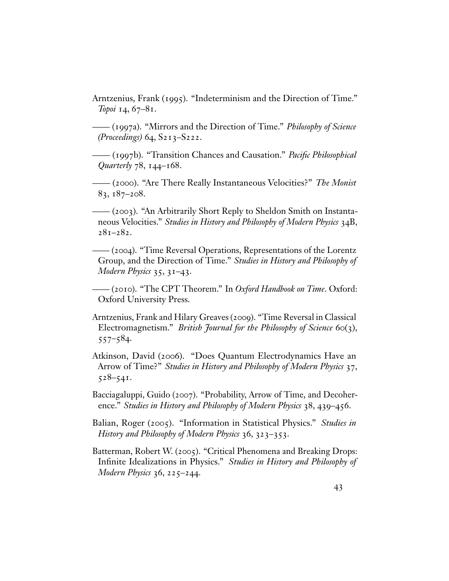Arntzenius, Frank (1995). "Indeterminism and the Direction of Time." *Topoi* 14, 67–81.

—— (1997a). "Mirrors and the Direction of Time." *Philosophy of Science (Proceedings)* 64, S213–S222.

—— (1997b). "Transition Chances and Causation." *Pacic Philosophical Quarterly* 78, 144–168.

—— (2000). "Are There Really Instantaneous Velocities?" *The Monist* 83, 187–208.

—— (2003). "An Arbitrarily Short Reply to Sheldon Smith on Instantaneous Velocities." *Studies in History and Philosophy of Modern Physics* 34B, 281–282.

—— (2004). "Time Reversal Operations, Representations of the Lorentz Group, and the Direction of Time." *Studies in History and Philosophy of Modern Physics* 35, 31–43.

—— (2010). "The CPT Theorem." In *Oxford Handbook on Time*. Oxford: Oxford University Press.

- Arntzenius, Frank and Hilary Greaves (2009). "Time Reversal in Classical Electromagnetism." *British Journal for the Philosophy of Science* 60(3), 557–584.
- Atkinson, David (2006). "Does Quantum Electrodynamics Have an Arrow of Time?" *Studies in History and Philosophy of Modern Physics* 37, 528–541.

Bacciagaluppi, Guido (2007). "Probability, Arrow of Time, and Decoherence." *Studies in History and Philosophy of Modern Physics* 38, 439–456.

Balian, Roger (2005). "Information in Statistical Physics." *Studies in History and Philosophy of Modern Physics* 36, 323–353.

Batterman, Robert W. (2005). "Critical Phenomena and Breaking Drops: Infinite Idealizations in Physics." *Studies in History and Philosophy of Modern Physics* 36, 225–244.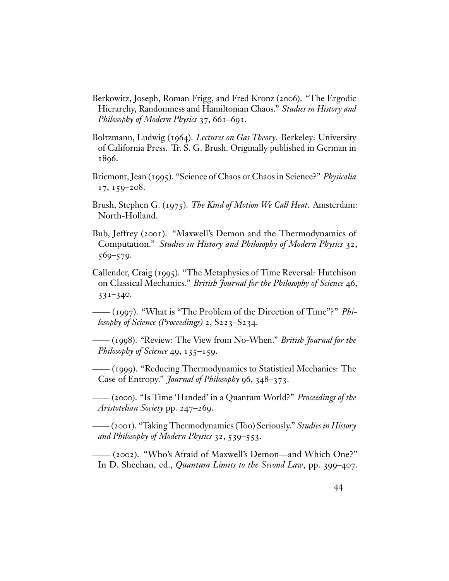- Berkowitz, Joseph, Roman Frigg, and Fred Kronz (2006). "The Ergodic Hierarchy, Randomness and Hamiltonian Chaos." *Studies in History and Philosophy of Modern Physics* 37, 661–691.
- Boltzmann, Ludwig (1964). *Lectures on Gas Theory*. Berkeley: University of California Press. Tr. S. G. Brush. Originally published in German in 1896.
- Bricmont, Jean (1995). "Science of Chaos or Chaos in Science?" *Physicalia* 17, 159–208.
- Brush, Stephen G. (1975). *The Kind of Motion We Call Heat*. Amsterdam: North-Holland.
- Bub, Jeffrey (2001). "Maxwell's Demon and the Thermodynamics of Computation." *Studies in History and Philosophy of Modern Physics* 32, 569–579.
- Callender, Craig (1995). "The Metaphysics of Time Reversal: Hutchison on Classical Mechanics." *British Journal for the Philosophy of Science* 46, 331–340.
- —— (1997). "What is "The Problem of the Direction of Time"?" *Philosophy of Science (Proceedings)* 2, S223–S234.
- —— (1998). "Review: The View from No-When." *British Journal for the Philosophy of Science* 49, 135–159.
- —— (1999). "Reducing Thermodynamics to Statistical Mechanics: The Case of Entropy." *Journal of Philosophy* 96, 348–373.
- —— (2000). "Is Time 'Handed' in a Quantum World?" *Proceedings of the Aristotelian Society* pp. 247–269.
- —— (2001). "Taking Thermodynamics (Too) Seriously." *Studies in History and Philosophy of Modern Physics* 32, 539–553.
- —— (2002). "Who's Afraid of Maxwell's Demon—and Which One?" In D. Sheehan, ed., *Quantum Limits to the Second Law*, pp. 399–407.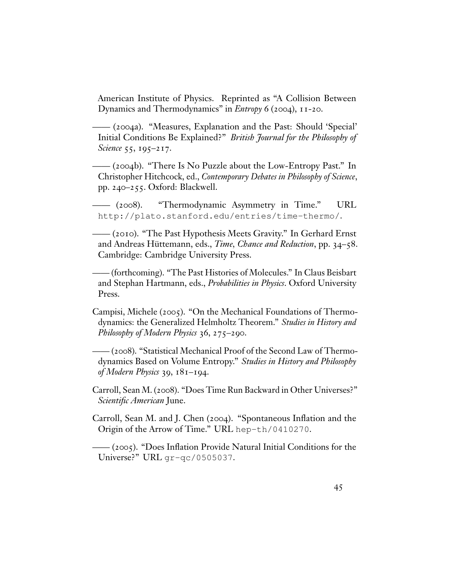American Institute of Physics. Reprinted as "A Collision Between Dynamics and Thermodynamics" in *Entropy* 6 (2004), 11-20.

—— (2004a). "Measures, Explanation and the Past: Should 'Special' Initial Conditions Be Explained?" *British Journal for the Philosophy of Science* 55, 195–217.

—— (2004b). "There Is No Puzzle about the Low-Entropy Past." In Christopher Hitchcock, ed., *Contemporary Debates in Philosophy of Science*, pp. 240–255. Oxford: Blackwell.

—— (2008). "Thermodynamic Asymmetry in Time." URL http://plato.stanford.edu/entries/time-thermo/.

—— (2010). "The Past Hypothesis Meets Gravity." In Gerhard Ernst and Andreas Hüttemann, eds., *Time, Chance and Reduction*, pp. 34–58. Cambridge: Cambridge University Press.

—— (forthcoming). "The Past Histories of Molecules." In Claus Beisbart and Stephan Hartmann, eds., *Probabilities in Physics*. Oxford University Press.

Campisi, Michele (2005). "On the Mechanical Foundations of Thermodynamics: the Generalized Helmholtz Theorem." *Studies in History and Philosophy of Modern Physics* 36, 275–290.

—— (2008). "Statistical Mechanical Proof of the Second Law of Thermodynamics Based on Volume Entropy." *Studies in History and Philosophy of Modern Physics* 39, 181–194.

Carroll, Sean M. (2008). "Does Time Run Backward in Other Universes?" *Scientic American* June.

Carroll, Sean M. and J. Chen (2004). "Spontaneous Inflation and the Origin of the Arrow of Time." URL hep-th/0410270.

 $-(2005)$ . "Does Inflation Provide Natural Initial Conditions for the Universe?" URL gr-qc/0505037.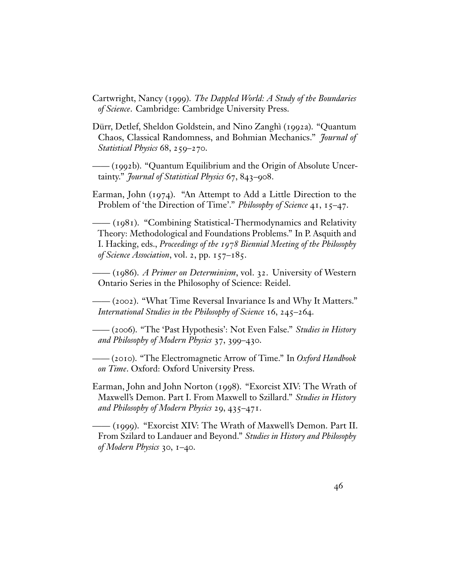- Cartwright, Nancy (1999). *The Dappled World: A Study of the Boundaries of Science*. Cambridge: Cambridge University Press.
- Dürr, Detlef, Sheldon Goldstein, and Nino Zanghì (1992a). "Quantum Chaos, Classical Randomness, and Bohmian Mechanics." *Journal of Statistical Physics* 68, 259–270.
- —— (1992b). "Quantum Equilibrium and the Origin of Absolute Uncertainty." *Journal of Statistical Physics* 67, 843–908.
- Earman, John (1974). "An Attempt to Add a Little Direction to the Problem of 'the Direction of Time'." *Philosophy of Science* 41, 15–47.
- —— (1981). "Combining Statistical-Thermodynamics and Relativity Theory: Methodological and Foundations Problems." In P. Asquith and I. Hacking, eds., *Proceedings of the 1978 Biennial Meeting of the Philosophy of Science Association*, vol. 2, pp. 157–185.

—— (1986). *A Primer on Determinism*, vol. 32. University of Western Ontario Series in the Philosophy of Science: Reidel.

—— (2002). "What Time Reversal Invariance Is and Why It Matters." *International Studies in the Philosophy of Science* 16, 245–264.

—— (2006). "The 'Past Hypothesis': Not Even False." *Studies in History and Philosophy of Modern Physics* 37, 399–430.

—— (2010). "The Electromagnetic Arrow of Time." In *Oxford Handbook on Time*. Oxford: Oxford University Press.

Earman, John and John Norton (1998). "Exorcist XIV: The Wrath of Maxwell's Demon. Part I. From Maxwell to Szillard." *Studies in History and Philosophy of Modern Physics* 29, 435–471.

—— (1999). "Exorcist XIV: The Wrath of Maxwell's Demon. Part II. From Szilard to Landauer and Beyond." *Studies in History and Philosophy of Modern Physics* 30, 1–40.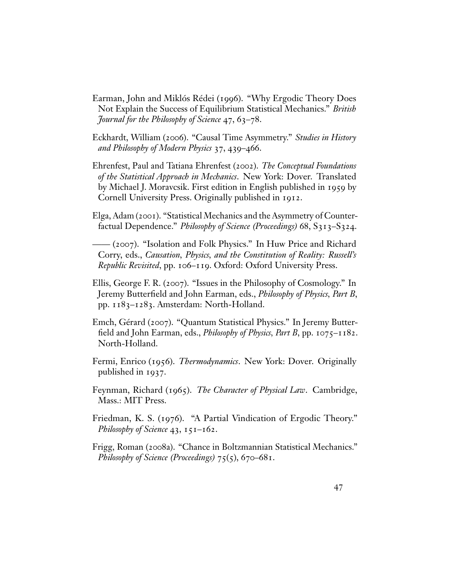- Earman, John and Miklós Rédei (1996). "Why Ergodic Theory Does Not Explain the Success of Equilibrium Statistical Mechanics." *British Journal for the Philosophy of Science* 47, 63–78.
- Eckhardt, William (2006). "Causal Time Asymmetry." *Studies in History and Philosophy of Modern Physics* 37, 439–466.
- Ehrenfest, Paul and Tatiana Ehrenfest (2002). *The Conceptual Foundations of the Statistical Approach in Mechanics*. New York: Dover. Translated by Michael J. Moravcsik. First edition in English published in 1959 by Cornell University Press. Originally published in 1912.
- Elga, Adam (2001). "Statistical Mechanics and the Asymmetry of Counterfactual Dependence." *Philosophy of Science (Proceedings)* 68, S313-S324.
- —— (2007). "Isolation and Folk Physics." In Huw Price and Richard Corry, eds., *Causation, Physics, and the Constitution of Reality: Russell's Republic Revisited*, pp. 106–119. Oxford: Oxford University Press.
- Ellis, George F. R. (2007). "Issues in the Philosophy of Cosmology." In Jeremy Butterfield and John Earman, eds., *Philosophy of Physics, Part B*, pp. 1183–1283. Amsterdam: North-Holland.
- Emch, Gérard (2007). "Quantum Statistical Physics." In Jeremy Butter eld and John Earman, eds., *Philosophy of Physics, Part B*, pp. 1075–1182. North-Holland.
- Fermi, Enrico (1956). *Thermodynamics*. New York: Dover. Originally published in 1937.
- Feynman, Richard (1965). *The Character of Physical Law*. Cambridge, Mass.: MIT Press.
- Friedman, K. S. (1976). "A Partial Vindication of Ergodic Theory." *Philosophy of Science* 43, 151–162.
- Frigg, Roman (2008a). "Chance in Boltzmannian Statistical Mechanics." *Philosophy of Science (Proceedings)* 75(5), 670–681.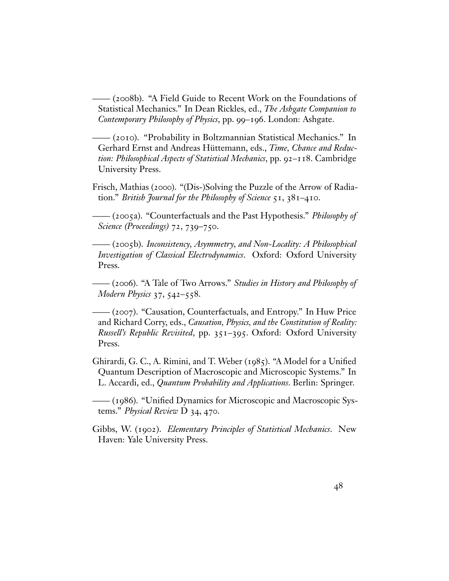—— (2008b). "A Field Guide to Recent Work on the Foundations of Statistical Mechanics." In Dean Rickles, ed., *The Ashgate Companion to Contemporary Philosophy of Physics*, pp. 99–196. London: Ashgate.

—— (2010). "Probability in Boltzmannian Statistical Mechanics." In Gerhard Ernst and Andreas Hüttemann, eds., *Time, Chance and Reduction: Philosophical Aspects of Statistical Mechanics*, pp. 92–118. Cambridge University Press.

Frisch, Mathias (2000). "(Dis-)Solving the Puzzle of the Arrow of Radiation." *British Journal for the Philosophy of Science* 51, 381–410.

—— (2005a). "Counterfactuals and the Past Hypothesis." *Philosophy of Science (Proceedings)* 72, 739–750.

—— (2005b). *Inconsistency, Asymmetry, and Non-Locality: A Philosophical Investigation of Classical Electrodynamics*. Oxford: Oxford University Press.

—— (2006). "A Tale of Two Arrows." *Studies in History and Philosophy of Modern Physics* 37, 542–558.

—— (2007). "Causation, Counterfactuals, and Entropy." In Huw Price and Richard Corry, eds., *Causation, Physics, and the Constitution of Reality: Russell's Republic Revisited*, pp. 351–395. Oxford: Oxford University Press.

- Ghirardi, G. C., A. Rimini, and T. Weber (1985). "A Model for a Unified Quantum Description of Macroscopic and Microscopic Systems." In L. Accardi, ed., *Quantum Probability and Applications*. Berlin: Springer.
- —— (1986). "Unied Dynamics for Microscopic and Macroscopic Systems." *Physical Review* D 34, 470.

Gibbs, W. (1902). *Elementary Principles of Statistical Mechanics*. New Haven: Yale University Press.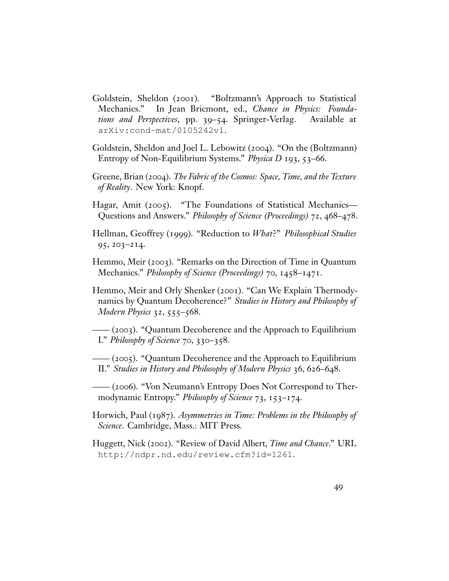- Goldstein, Sheldon (2001). "Boltzmann's Approach to Statistical Mechanics." In Jean Bricmont, ed., *Chance in Physics: Foundations and Perspectives*, pp. 39–54. Springer-Verlag. Available at arXiv:cond-mat/0105242v1.
- Goldstein, Sheldon and Joel L. Lebowitz (2004). "On the (Boltzmann) Entropy of Non-Equilibrium Systems." *Physica D* 193, 53–66.
- Greene, Brian (2004). *The Fabric of the Cosmos: Space, Time, and the Texture of Reality*. New York: Knopf.
- Hagar, Amit (2005). "The Foundations of Statistical Mechanics-Questions and Answers." *Philosophy of Science (Proceedings)* 72, 468–478.
- Hellman, Geoffrey (1999). "Reduction to *What*?" *Philosophical Studies* 95, 203–214.
- Hemmo, Meir (2003). "Remarks on the Direction of Time in Quantum Mechanics." *Philosophy of Science (Proceedings)* 70, 1458–1471.
- Hemmo, Meir and Orly Shenker (2001). "Can We Explain Thermodynamics by Quantum Decoherence?" *Studies in History and Philosophy of Modern Physics* 32, 555–568.
- —— (2003). "Quantum Decoherence and the Approach to Equilibrium I." *Philosophy of Science* 70, 330–358.
- —— (2005). "Quantum Decoherence and the Approach to Equilibrium II." *Studies in History and Philosophy of Modern Physics* 36, 626–648.
- —— (2006). "Von Neumann's Entropy Does Not Correspond to Thermodynamic Entropy." *Philosophy of Science* 73, 153–174.
- Horwich, Paul (1987). *Asymmetries in Time: Problems in the Philosophy of Science*. Cambridge, Mass.: MIT Press.
- Huggett, Nick (2002). "Review of David Albert, *Time and Chance*." URL http://ndpr.nd.edu/review.cfm?id=1261.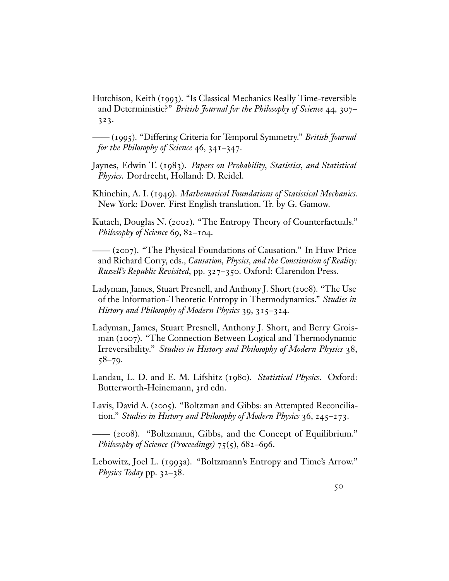- Hutchison, Keith (1993). "Is Classical Mechanics Really Time-reversible and Deterministic?" *British Journal for the Philosophy of Science* 44, 307– 323.
- —— (1995). "Differing Criteria for Temporal Symmetry." *British Journal for the Philosophy of Science* 46, 341–347.
- Jaynes, Edwin T. (1983). *Papers on Probability, Statistics, and Statistical Physics*. Dordrecht, Holland: D. Reidel.
- Khinchin, A. I. (1949). *Mathematical Foundations of Statistical Mechanics*. New York: Dover. First English translation. Tr. by G. Gamow.
- Kutach, Douglas N. (2002). "The Entropy Theory of Counterfactuals." *Philosophy of Science* 69, 82–104.
- —— (2007). "The Physical Foundations of Causation." In Huw Price and Richard Corry, eds., *Causation, Physics, and the Constitution of Reality: Russell's Republic Revisited*, pp. 327–350. Oxford: Clarendon Press.
- Ladyman, James, Stuart Presnell, and Anthony J. Short (2008). "The Use of the Information-Theoretic Entropy in Thermodynamics." *Studies in History and Philosophy of Modern Physics* 39, 315–324.
- Ladyman, James, Stuart Presnell, Anthony J. Short, and Berry Groisman (2007). "The Connection Between Logical and Thermodynamic Irreversibility." *Studies in History and Philosophy of Modern Physics* 38, 58–79.
- Landau, L. D. and E. M. Lifshitz (1980). *Statistical Physics*. Oxford: Butterworth-Heinemann, 3rd edn.
- Lavis, David A. (2005). "Boltzman and Gibbs: an Attempted Reconciliation." *Studies in History and Philosophy of Modern Physics* 36, 245–273.
- —— (2008). "Boltzmann, Gibbs, and the Concept of Equilibrium." *Philosophy of Science (Proceedings)* 75(5), 682–696.
- Lebowitz, Joel L. (1993a). "Boltzmann's Entropy and Time's Arrow." *Physics Today* pp. 32–38.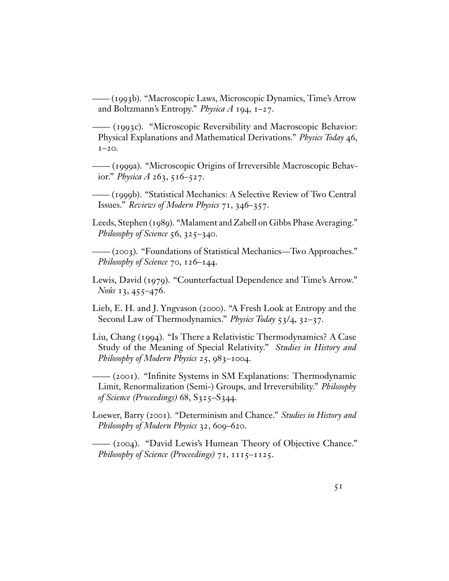—— (1993b). "Macroscopic Laws, Microscopic Dynamics, Time's Arrow and Boltzmann's Entropy." *Physica A* 194, 1–27.

—— (1993c). "Microscopic Reversibility and Macroscopic Behavior: Physical Explanations and Mathematical Derivations." *Physics Today* 46,  $I-2O$ .

—— (1999a). "Microscopic Origins of Irreversible Macroscopic Behavior." *Physica A* 263, 516–527.

—— (1999b). "Statistical Mechanics: A Selective Review of Two Central Issues." *Reviews of Modern Physics* 71, 346–357.

Leeds, Stephen (1989). "Malament and Zabell on Gibbs Phase Averaging." *Philosophy of Science* 56, 325–340.

—— (2003). "Foundations of Statistical Mechanics—Two Approaches." *Philosophy of Science* 70, 126–144.

Lewis, David (1979). "Counterfactual Dependence and Time's Arrow." *Noûs* 13, 455–476.

Lieb, E. H. and J. Yngvason (2000). "A Fresh Look at Entropy and the Second Law of Thermodynamics." *Physics Today* 53/4, 32–37.

Liu, Chang (1994). "Is There a Relativistic Thermodynamics? A Case Study of the Meaning of Special Relativity." *Studies in History and Philosophy of Modern Physics* 25, 983–1004.

—— (2001). "Innite Systems in SM Explanations: Thermodynamic Limit, Renormalization (Semi-) Groups, and Irreversibility." *Philosophy of Science (Proceedings)* 68, S325–S344.

Loewer, Barry (2001). "Determinism and Chance." *Studies in History and Philosophy of Modern Physics* 32, 609–620.

—— (2004). "David Lewis's Humean Theory of Objective Chance." *Philosophy of Science (Proceedings)* 71, 1115–1125.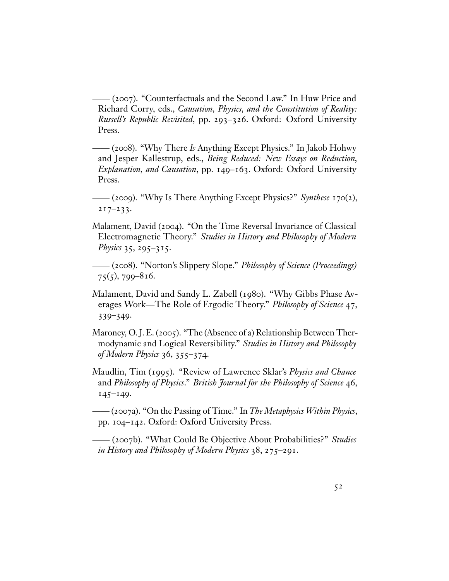—— (2007). "Counterfactuals and the Second Law." In Huw Price and Richard Corry, eds., *Causation, Physics, and the Constitution of Reality: Russell's Republic Revisited*, pp. 293–326. Oxford: Oxford University Press.

—— (2008). "Why There *Is* Anything Except Physics." In Jakob Hohwy and Jesper Kallestrup, eds., *Being Reduced: New Essays on Reduction, Explanation, and Causation*, pp. 149–163. Oxford: Oxford University Press.

—— (2009). "Why Is There Anything Except Physics?" *Synthese* 170(2), 217–233.

Malament, David (2004). "On the Time Reversal Invariance of Classical Electromagnetic Theory." *Studies in History and Philosophy of Modern Physics* 35, 295–315.

—— (2008). "Norton's Slippery Slope." *Philosophy of Science (Proceedings)* 75(5), 799–816.

Malament, David and Sandy L. Zabell (1980). "Why Gibbs Phase Averages Work—The Role of Ergodic Theory." *Philosophy of Science* 47, 339–349.

Maroney, O. J. E. (2005). "The (Absence of a) Relationship Between Thermodynamic and Logical Reversibility." *Studies in History and Philosophy of Modern Physics* 36, 355–374.

Maudlin, Tim (1995). "Review of Lawrence Sklar's *Physics and Chance* and *Philosophy of Physics*." *British Journal for the Philosophy of Science* 46, 145–149.

—— (2007a). "On the Passing of Time." In *The Metaphysics Within Physics*, pp. 104–142. Oxford: Oxford University Press.

—— (2007b). "What Could Be Objective About Probabilities?" *Studies in History and Philosophy of Modern Physics* 38, 275–291.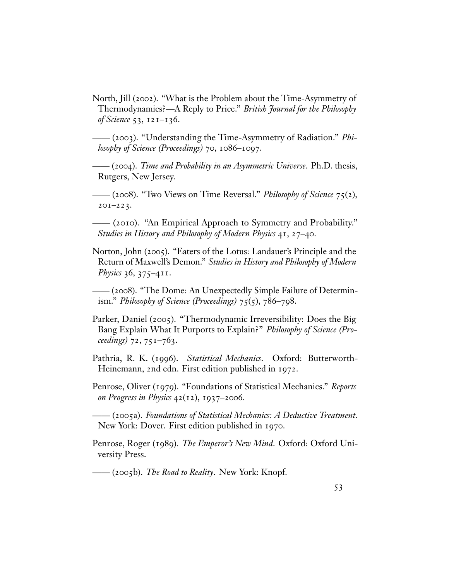North, Jill (2002). "What is the Problem about the Time-Asymmetry of Thermodynamics?—A Reply to Price." *British Journal for the Philosophy of Science* 53, 121–136.

—— (2003). "Understanding the Time-Asymmetry of Radiation." *Philosophy of Science (Proceedings)* 70, 1086–1097.

—— (2004). *Time and Probability in an Asymmetric Universe*. Ph.D. thesis, Rutgers, New Jersey.

—— (2008). "Two Views on Time Reversal." *Philosophy of Science* 75(2),  $201 - 223$ .

—— (2010). "An Empirical Approach to Symmetry and Probability." *Studies in History and Philosophy of Modern Physics* 41, 27–40.

Norton, John (2005). "Eaters of the Lotus: Landauer's Principle and the Return of Maxwell's Demon." *Studies in History and Philosophy of Modern Physics* 36, 375–411.

—— (2008). "The Dome: An Unexpectedly Simple Failure of Determinism." *Philosophy of Science (Proceedings)* 75(5), 786–798.

- Parker, Daniel (2005). "Thermodynamic Irreversibility: Does the Big Bang Explain What It Purports to Explain?" *Philosophy of Science (Proceedings)* 72, 751–763.
- Pathria, R. K. (1996). *Statistical Mechanics*. Oxford: Butterworth-Heinemann, 2nd edn. First edition published in 1972.

Penrose, Oliver (1979). "Foundations of Statistical Mechanics." *Reports on Progress in Physics* 42(12), 1937–2006.

—— (2005a). *Foundations of Statistical Mechanics: A Deductive Treatment*. New York: Dover. First edition published in 1970.

Penrose, Roger (1989). *The Emperor's New Mind*. Oxford: Oxford University Press.

—— (2005b). *The Road to Reality*. New York: Knopf.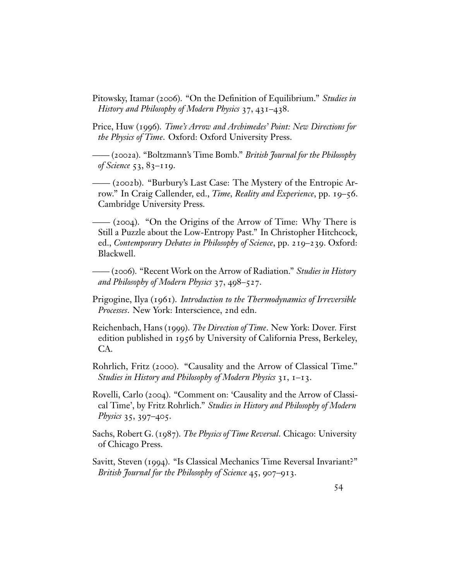Pitowsky, Itamar (2006). "On the Definition of Equilibrium." *Studies in History and Philosophy of Modern Physics* 37, 431–438.

Price, Huw (1996). *Time's Arrow and Archimedes' Point: New Directions for the Physics of Time*. Oxford: Oxford University Press.

—— (2002a). "Boltzmann's Time Bomb." *British Journal for the Philosophy of Science* 53, 83–119.

—— (2002b). "Burbury's Last Case: The Mystery of the Entropic Arrow." In Craig Callender, ed., *Time, Reality and Experience*, pp. 19–56. Cambridge University Press.

 $-(2004)$ . "On the Origins of the Arrow of Time: Why There is Still a Puzzle about the Low-Entropy Past." In Christopher Hitchcock, ed., *Contemporary Debates in Philosophy of Science*, pp. 219–239. Oxford: Blackwell.

—— (2006). "Recent Work on the Arrow of Radiation." *Studies in History and Philosophy of Modern Physics* 37, 498–527.

Prigogine, Ilya (1961). *Introduction to the Thermodynamics of Irreversible Processes*. New York: Interscience, 2nd edn.

Reichenbach, Hans (1999). *The Direction of Time*. New York: Dover. First edition published in 1956 by University of California Press, Berkeley, CA.

Rohrlich, Fritz (2000). "Causality and the Arrow of Classical Time." *Studies in History and Philosophy of Modern Physics* 31, 1–13.

Rovelli, Carlo (2004). "Comment on: 'Causality and the Arrow of Classical Time', by Fritz Rohrlich." *Studies in History and Philosophy of Modern Physics* 35, 397–405.

Sachs, Robert G. (1987). *The Physics of Time Reversal*. Chicago: University of Chicago Press.

Savitt, Steven (1994). "Is Classical Mechanics Time Reversal Invariant?" *British Journal for the Philosophy of Science* 45, 907–913.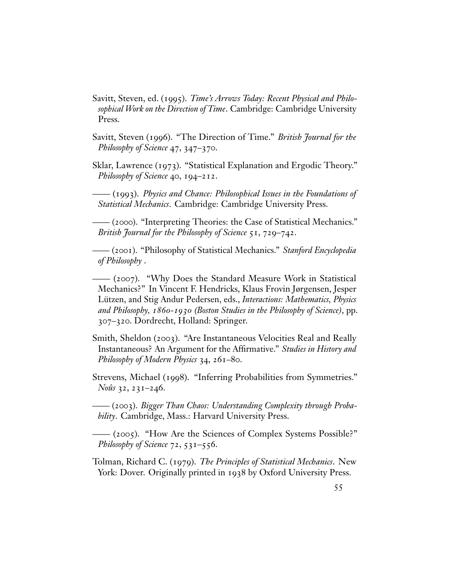- Savitt, Steven, ed. (1995). *Time's Arrows Today: Recent Physical and Philosophical Work on the Direction of Time*. Cambridge: Cambridge University Press.
- Savitt, Steven (1996). "The Direction of Time." *British Journal for the Philosophy of Science* 47, 347–370.
- Sklar, Lawrence (1973). "Statistical Explanation and Ergodic Theory." *Philosophy of Science* 40, 194–212.
- —— (1993). *Physics and Chance: Philosophical Issues in the Foundations of Statistical Mechanics*. Cambridge: Cambridge University Press.

—— (2000). "Interpreting Theories: the Case of Statistical Mechanics." *British Journal for the Philosophy of Science* 51, 729–742.

—— (2001). "Philosophy of Statistical Mechanics." *Stanford Encyclopedia of Philosophy* .

- —— (2007). "Why Does the Standard Measure Work in Statistical Mechanics?" In Vincent F. Hendricks, Klaus Frovin Jørgensen, Jesper Lützen, and Stig Andur Pedersen, eds., *Interactions: Mathematics, Physics and Philosophy, 1860-1930 (Boston Studies in the Philosophy of Science)*, pp. 307–320. Dordrecht, Holland: Springer.
- Smith, Sheldon (2003). "Are Instantaneous Velocities Real and Really Instantaneous? An Argument for the Afrmative." *Studies in History and Philosophy of Modern Physics* 34, 261–80.
- Strevens, Michael (1998). "Inferring Probabilities from Symmetries." *Noûs* 32, 231–246.

—— (2003). *Bigger Than Chaos: Understanding Complexity through Probability*. Cambridge, Mass.: Harvard University Press.

- —— (2005). "How Are the Sciences of Complex Systems Possible?" *Philosophy of Science* 72, 531–556.
- Tolman, Richard C. (1979). *The Principles of Statistical Mechanics*. New York: Dover. Originally printed in 1938 by Oxford University Press.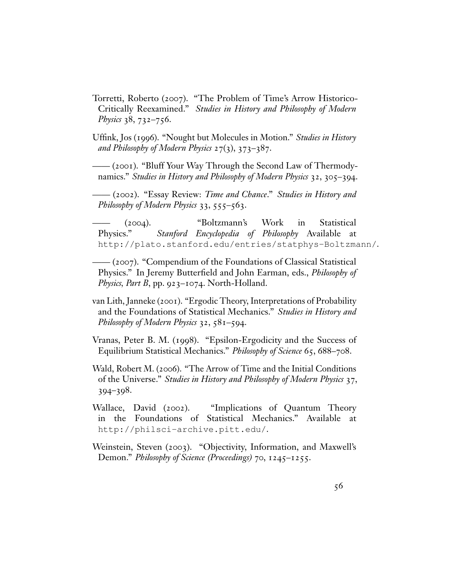Torretti, Roberto (2007). "The Problem of Time's Arrow Historico-Critically Reexamined." *Studies in History and Philosophy of Modern Physics* 38, 732–756.

Ufnk, Jos (1996). "Nought but Molecules in Motion." *Studies in History and Philosophy of Modern Physics* 27(3), 373–387.

—— (2001). "Bluff Your Way Through the Second Law of Thermodynamics." *Studies in History and Philosophy of Modern Physics* 32, 305–394.

—— (2002). "Essay Review: *Time and Chance*." *Studies in History and Philosophy of Modern Physics* 33, 555–563.

—— (2004). "Boltzmann's Work in Statistical Physics." *Stanford Encyclopedia of Philosophy* Available at http://plato.stanford.edu/entries/statphys-Boltzmann/.

—— (2007). "Compendium of the Foundations of Classical Statistical Physics." In Jeremy Butterfield and John Earman, eds., *Philosophy of Physics, Part B*, pp. 923–1074. North-Holland.

van Lith, Janneke (2001). "Ergodic Theory, Interpretations of Probability and the Foundations of Statistical Mechanics." *Studies in History and Philosophy of Modern Physics* 32, 581–594.

Vranas, Peter B. M. (1998). "Epsilon-Ergodicity and the Success of Equilibrium Statistical Mechanics." *Philosophy of Science* 65, 688–708.

- Wald, Robert M. (2006). "The Arrow of Time and the Initial Conditions of the Universe." *Studies in History and Philosophy of Modern Physics* 37, 394–398.
- Wallace, David (2002). "Implications of Quantum Theory in the Foundations of Statistical Mechanics." Available at http://philsci-archive.pitt.edu/.
- Weinstein, Steven (2003). "Objectivity, Information, and Maxwell's Demon." *Philosophy of Science (Proceedings)* 70, 1245–1255.